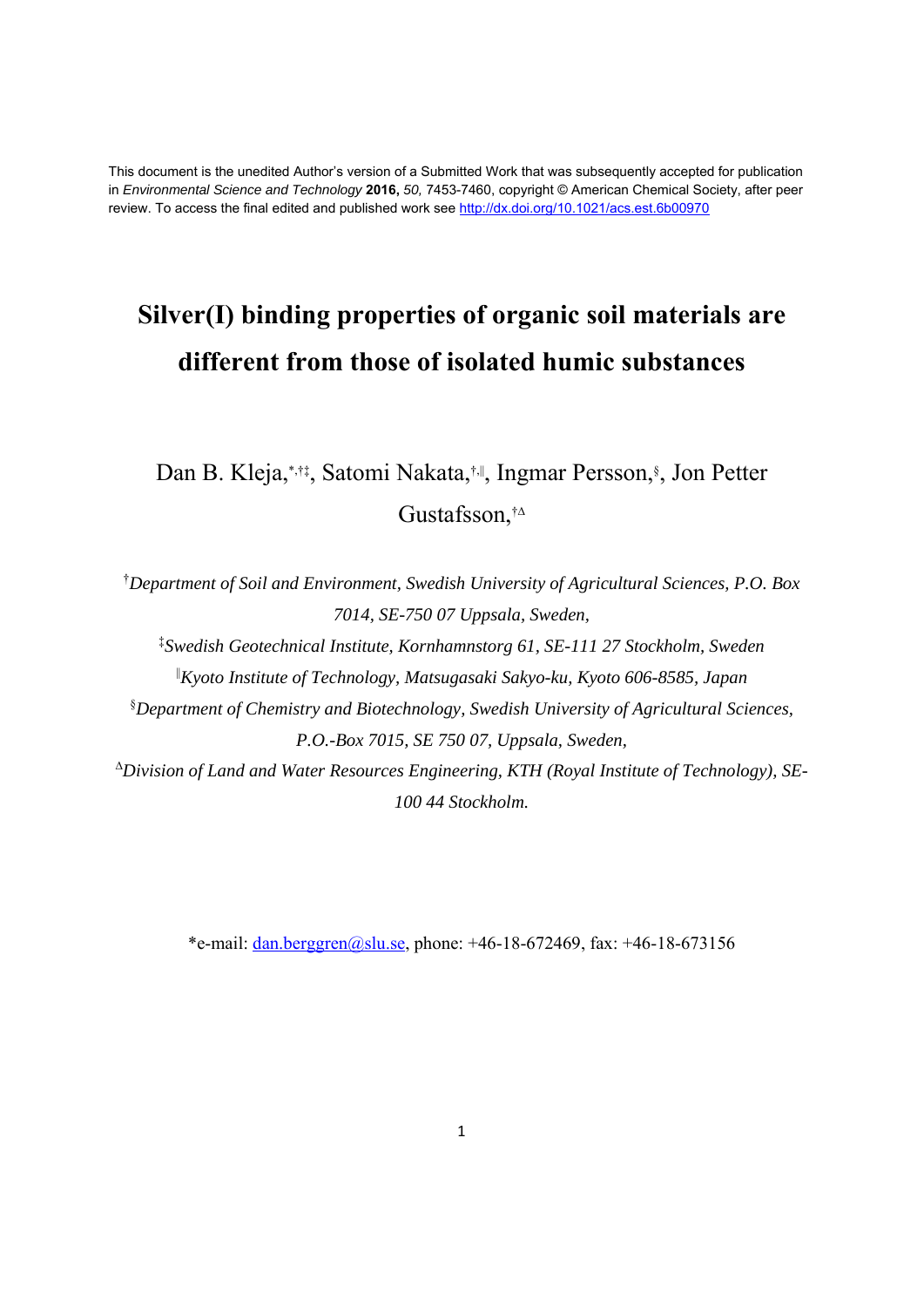This document is the unedited Author's version of a Submitted Work that was subsequently accepted for publication in *Environmental Science and Technology* **2016,** *50,* 7453-7460, copyright © American Chemical Society, after peer review. To access the final edited and published work see http://dx.doi.org/10.1021/acs.est.6b00970

# **Silver(I) binding properties of organic soil materials are different from those of isolated humic substances**

Dan B. Kleja, \*,†‡, Satomi Nakata,†‼, Ingmar Persson, §, Jon Petter Gustafsson,†∆

† *Department of Soil and Environment, Swedish University of Agricultural Sciences, P.O. Box 7014, SE-750 07 Uppsala, Sweden,* 

‡ *Swedish Geotechnical Institute, Kornhamnstorg 61, SE-111 27 Stockholm, Sweden* 

||*Kyoto Institute of Technology, Matsugasaki Sakyo-ku, Kyoto 606-8585, Japan*

§ *Department of Chemistry and Biotechnology, Swedish University of Agricultural Sciences, P.O.-Box 7015, SE 750 07, Uppsala, Sweden,* 

<sup>∆</sup>*Division of Land and Water Resources Engineering, KTH (Royal Institute of Technology), SE-100 44 Stockholm.* 

\*e-mail: dan.berggren@slu.se, phone:  $+46-18-672469$ , fax:  $+46-18-673156$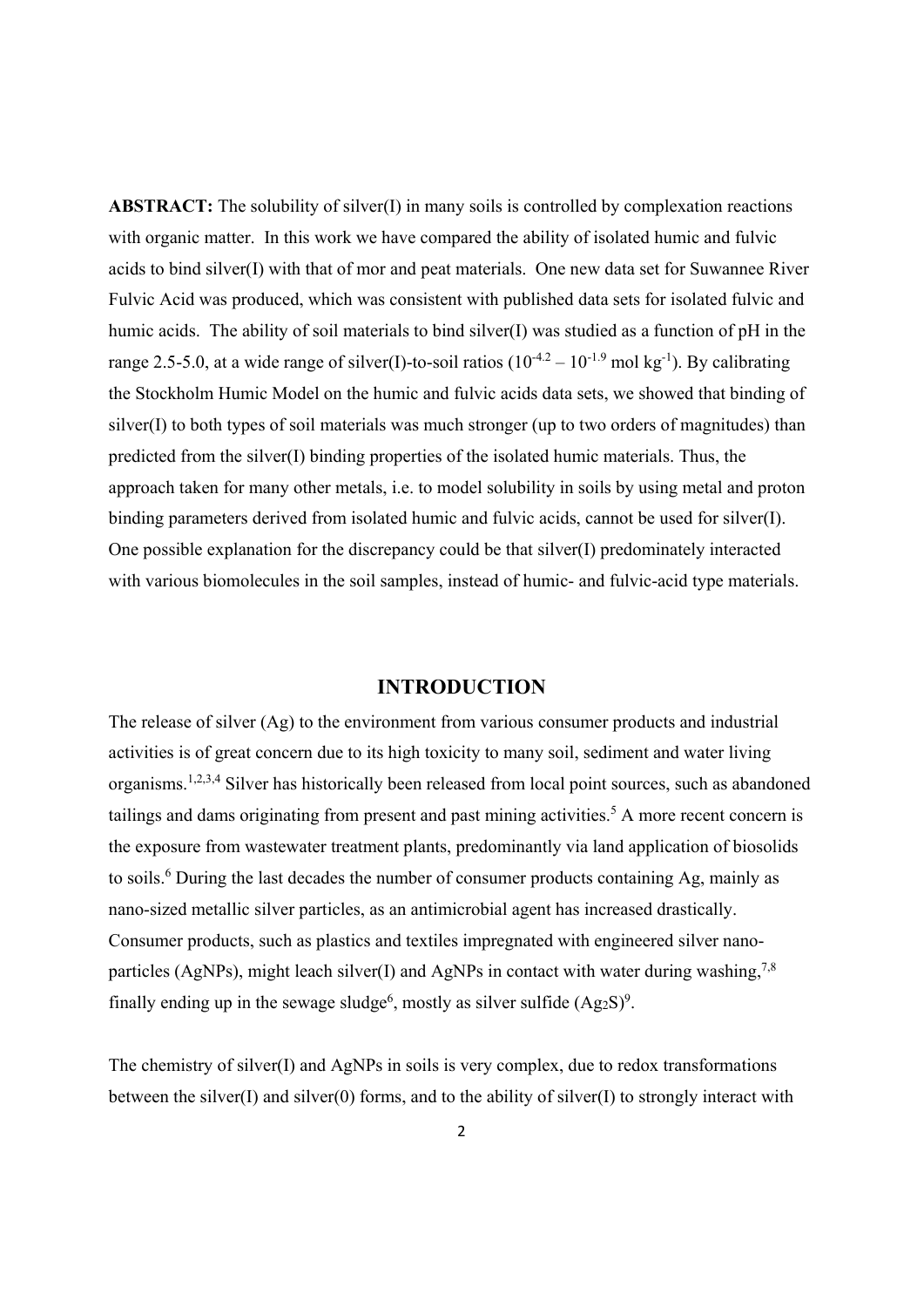**ABSTRACT:** The solubility of silver(I) in many soils is controlled by complexation reactions with organic matter. In this work we have compared the ability of isolated humic and fulvic acids to bind silver(I) with that of mor and peat materials. One new data set for Suwannee River Fulvic Acid was produced, which was consistent with published data sets for isolated fulvic and humic acids. The ability of soil materials to bind silver(I) was studied as a function of pH in the range 2.5-5.0, at a wide range of silver(I)-to-soil ratios  $(10^{-4.2} - 10^{-1.9} \text{ mol kg}^{-1})$ . By calibrating the Stockholm Humic Model on the humic and fulvic acids data sets, we showed that binding of silver(I) to both types of soil materials was much stronger (up to two orders of magnitudes) than predicted from the silver(I) binding properties of the isolated humic materials. Thus, the approach taken for many other metals, i.e. to model solubility in soils by using metal and proton binding parameters derived from isolated humic and fulvic acids, cannot be used for silver(I). One possible explanation for the discrepancy could be that silver(I) predominately interacted with various biomolecules in the soil samples, instead of humic- and fulvic-acid type materials.

### **INTRODUCTION**

The release of silver (Ag) to the environment from various consumer products and industrial activities is of great concern due to its high toxicity to many soil, sediment and water living organisms.1,2,3,4 Silver has historically been released from local point sources, such as abandoned tailings and dams originating from present and past mining activities.<sup>5</sup> A more recent concern is the exposure from wastewater treatment plants, predominantly via land application of biosolids to soils.<sup>6</sup> During the last decades the number of consumer products containing Ag, mainly as nano-sized metallic silver particles, as an antimicrobial agent has increased drastically. Consumer products, such as plastics and textiles impregnated with engineered silver nanoparticles (AgNPs), might leach silver(I) and AgNPs in contact with water during washing,<sup>7,8</sup> finally ending up in the sewage sludge<sup>6</sup>, mostly as silver sulfide  $(Ag_2S)^9$ .

The chemistry of silver(I) and AgNPs in soils is very complex, due to redox transformations between the silver(I) and silver(0) forms, and to the ability of silver(I) to strongly interact with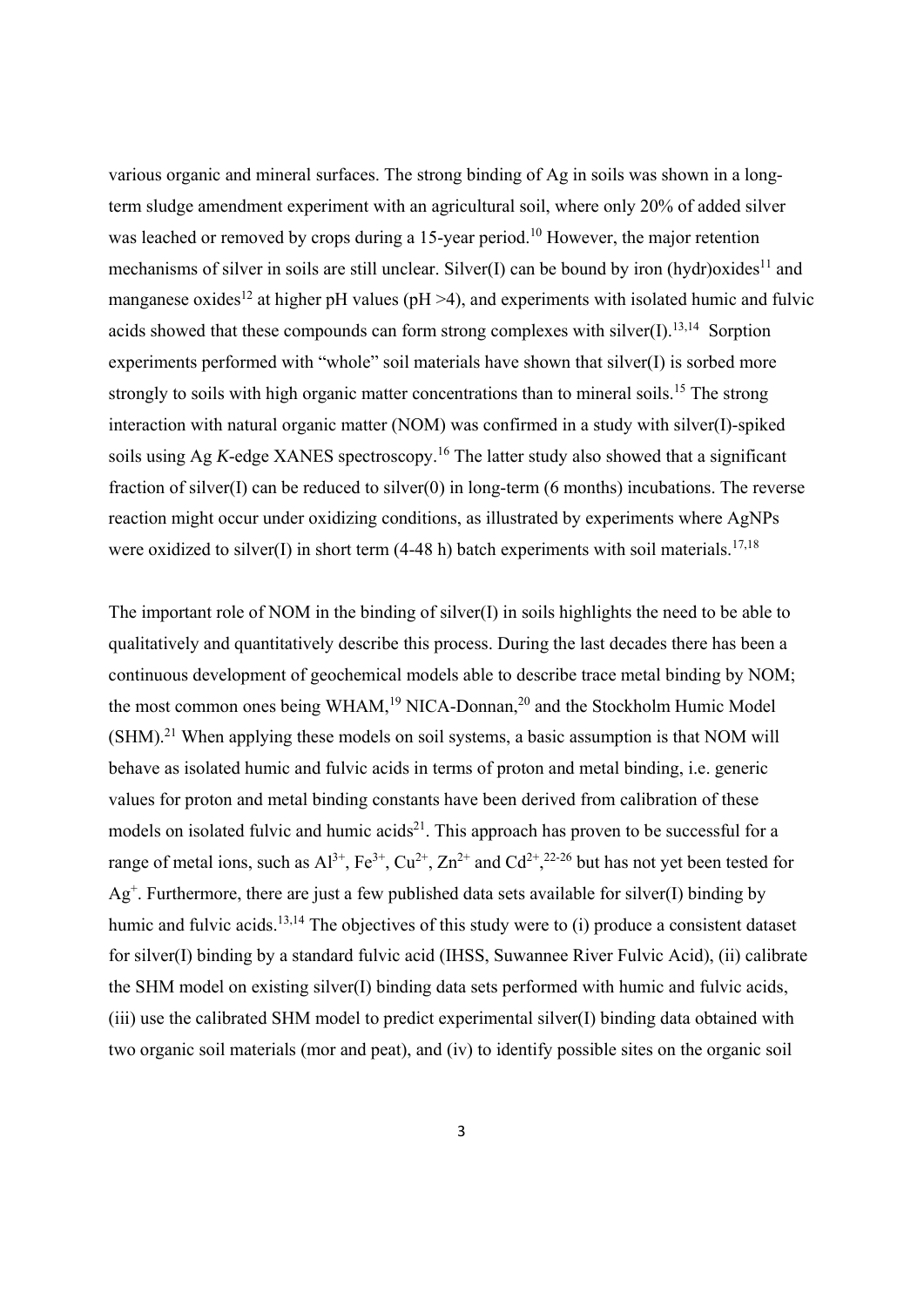various organic and mineral surfaces. The strong binding of Ag in soils was shown in a longterm sludge amendment experiment with an agricultural soil, where only 20% of added silver was leached or removed by crops during a 15-year period.<sup>10</sup> However, the major retention mechanisms of silver in soils are still unclear. Silver(I) can be bound by iron (hydr)oxides<sup>11</sup> and manganese oxides<sup>12</sup> at higher pH values (pH  $>4$ ), and experiments with isolated humic and fulvic acids showed that these compounds can form strong complexes with silver $(I)$ .<sup>13,14</sup> Sorption experiments performed with "whole" soil materials have shown that silver(I) is sorbed more strongly to soils with high organic matter concentrations than to mineral soils.<sup>15</sup> The strong interaction with natural organic matter (NOM) was confirmed in a study with silver(I)-spiked soils using Ag *K*-edge XANES spectroscopy.<sup>16</sup> The latter study also showed that a significant fraction of silver(I) can be reduced to silver(0) in long-term (6 months) incubations. The reverse reaction might occur under oxidizing conditions, as illustrated by experiments where AgNPs were oxidized to silver(I) in short term (4-48 h) batch experiments with soil materials.<sup>17,18</sup>

The important role of NOM in the binding of silver(I) in soils highlights the need to be able to qualitatively and quantitatively describe this process. During the last decades there has been a continuous development of geochemical models able to describe trace metal binding by NOM; the most common ones being WHAM,<sup>19</sup> NICA-Donnan,<sup>20</sup> and the Stockholm Humic Model  $(SHM).<sup>21</sup>$  When applying these models on soil systems, a basic assumption is that NOM will behave as isolated humic and fulvic acids in terms of proton and metal binding, i.e. generic values for proton and metal binding constants have been derived from calibration of these models on isolated fulvic and humic acids<sup>21</sup>. This approach has proven to be successful for a range of metal ions, such as  $Al^{3+}$ ,  $Fe^{3+}$ ,  $Cu^{2+}$ ,  $Zn^{2+}$  and  $Cd^{2+}$ ,  $2^{2-26}$  but has not yet been tested for  $Ag<sup>+</sup>$ . Furthermore, there are just a few published data sets available for silver(I) binding by humic and fulvic acids.<sup>13,14</sup> The objectives of this study were to (i) produce a consistent dataset for silver(I) binding by a standard fulvic acid (IHSS, Suwannee River Fulvic Acid), (ii) calibrate the SHM model on existing silver(I) binding data sets performed with humic and fulvic acids, (iii) use the calibrated SHM model to predict experimental silver(I) binding data obtained with two organic soil materials (mor and peat), and (iv) to identify possible sites on the organic soil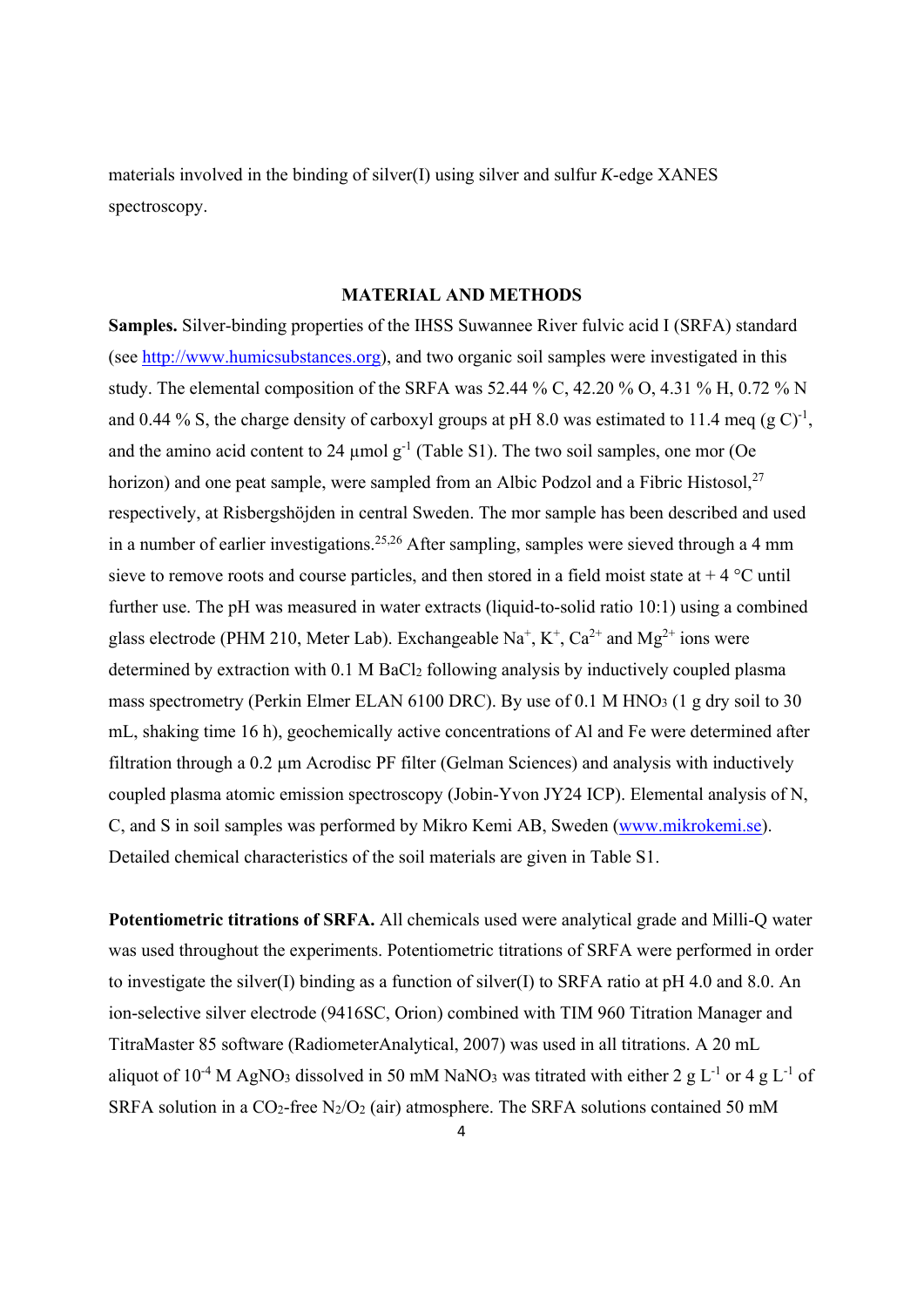materials involved in the binding of silver(I) using silver and sulfur *K*-edge XANES spectroscopy.

#### **MATERIAL AND METHODS**

**Samples.** Silver-binding properties of the IHSS Suwannee River fulvic acid I (SRFA) standard (see http://www.humicsubstances.org), and two organic soil samples were investigated in this study. The elemental composition of the SRFA was 52.44 % C, 42.20 % O, 4.31 % H, 0.72 % N and 0.44 % S, the charge density of carboxyl groups at pH 8.0 was estimated to 11.4 meq (g C)<sup>-1</sup>, and the amino acid content to 24  $\mu$ mol g<sup>-1</sup> (Table S1). The two soil samples, one mor (Oe horizon) and one peat sample, were sampled from an Albic Podzol and a Fibric Histosol, $27$ respectively, at Risbergshöjden in central Sweden. The mor sample has been described and used in a number of earlier investigations.<sup>25,26</sup> After sampling, samples were sieved through a 4 mm sieve to remove roots and course particles, and then stored in a field moist state at  $+4$  °C until further use. The pH was measured in water extracts (liquid-to-solid ratio 10:1) using a combined glass electrode (PHM 210, Meter Lab). Exchangeable  $Na^+$ ,  $K^+$ ,  $Ca^{2+}$  and  $Mg^{2+}$  ions were determined by extraction with 0.1 M BaCl<sub>2</sub> following analysis by inductively coupled plasma mass spectrometry (Perkin Elmer ELAN 6100 DRC). By use of 0.1 M HNO<sub>3</sub> (1 g dry soil to 30 mL, shaking time 16 h), geochemically active concentrations of Al and Fe were determined after filtration through a 0.2 µm Acrodisc PF filter (Gelman Sciences) and analysis with inductively coupled plasma atomic emission spectroscopy (Jobin-Yvon JY24 ICP). Elemental analysis of N, C, and S in soil samples was performed by Mikro Kemi AB, Sweden (www.mikrokemi.se). Detailed chemical characteristics of the soil materials are given in Table S1.

**Potentiometric titrations of SRFA.** All chemicals used were analytical grade and Milli-Q water was used throughout the experiments. Potentiometric titrations of SRFA were performed in order to investigate the silver(I) binding as a function of silver(I) to SRFA ratio at pH 4.0 and 8.0. An ion-selective silver electrode (9416SC, Orion) combined with TIM 960 Titration Manager and TitraMaster 85 software (RadiometerAnalytical, 2007) was used in all titrations. A 20 mL aliquot of  $10^{-4}$  M AgNO<sub>3</sub> dissolved in 50 mM NaNO<sub>3</sub> was titrated with either 2 g L<sup>-1</sup> or 4 g L<sup>-1</sup> of SRFA solution in a CO<sub>2</sub>-free N<sub>2</sub>/O<sub>2</sub> (air) atmosphere. The SRFA solutions contained 50 mM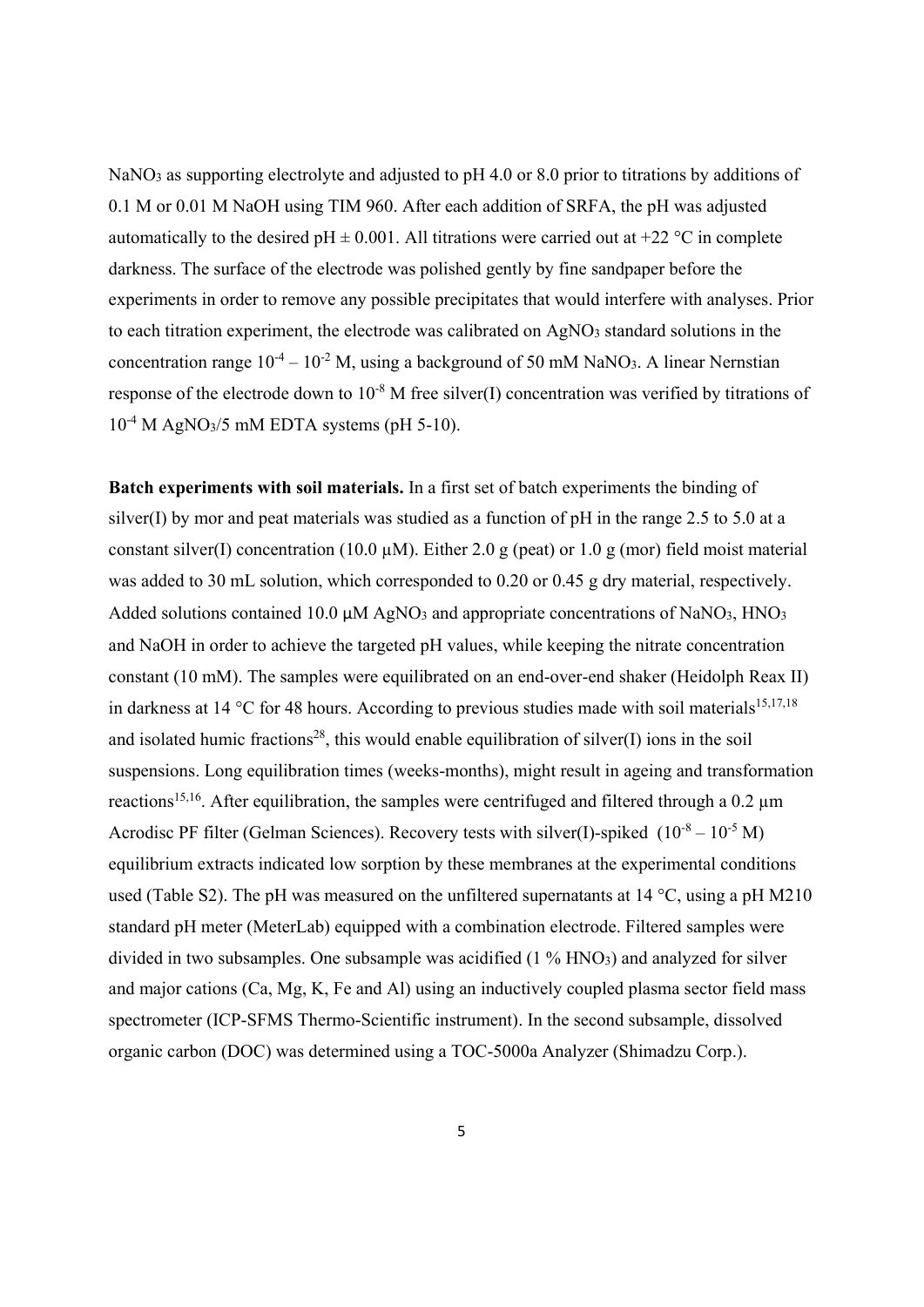NaNO<sub>3</sub> as supporting electrolyte and adjusted to pH 4.0 or 8.0 prior to titrations by additions of 0.1 M or 0.01 M NaOH using TIM 960. After each addition of SRFA, the pH was adjusted automatically to the desired pH  $\pm$  0.001. All titrations were carried out at +22 °C in complete darkness. The surface of the electrode was polished gently by fine sandpaper before the experiments in order to remove any possible precipitates that would interfere with analyses. Prior to each titration experiment, the electrode was calibrated on AgNO3 standard solutions in the concentration range  $10^{-4} - 10^{-2}$  M, using a background of 50 mM NaNO<sub>3</sub>. A linear Nernstian response of the electrode down to  $10^{-8}$  M free silver(I) concentration was verified by titrations of  $10^{-4}$  M AgNO<sub>3</sub>/5 mM EDTA systems (pH 5-10).

**Batch experiments with soil materials.** In a first set of batch experiments the binding of silver(I) by mor and peat materials was studied as a function of  $pH$  in the range 2.5 to 5.0 at a constant silver(I) concentration (10.0  $\mu$ M). Either 2.0 g (peat) or 1.0 g (mor) field moist material was added to 30 mL solution, which corresponded to 0.20 or 0.45 g dry material, respectively. Added solutions contained 10.0  $\mu$ M AgNO<sub>3</sub> and appropriate concentrations of NaNO<sub>3</sub>, HNO<sub>3</sub> and NaOH in order to achieve the targeted pH values, while keeping the nitrate concentration constant (10 mM). The samples were equilibrated on an end-over-end shaker (Heidolph Reax II) in darkness at 14 °C for 48 hours. According to previous studies made with soil materials<sup>15,17,18</sup> and isolated humic fractions<sup>28</sup>, this would enable equilibration of silver(I) ions in the soil suspensions. Long equilibration times (weeks-months), might result in ageing and transformation reactions<sup>15,16</sup>. After equilibration, the samples were centrifuged and filtered through a 0.2 µm Acrodisc PF filter (Gelman Sciences). Recovery tests with silver(I)-spiked  $(10^{-8} – 10^{-5} M)$ equilibrium extracts indicated low sorption by these membranes at the experimental conditions used (Table S2). The pH was measured on the unfiltered supernatants at 14 °C, using a pH M210 standard pH meter (MeterLab) equipped with a combination electrode. Filtered samples were divided in two subsamples. One subsample was acidified (1 % HNO3) and analyzed for silver and major cations (Ca, Mg, K, Fe and Al) using an inductively coupled plasma sector field mass spectrometer (ICP-SFMS Thermo-Scientific instrument). In the second subsample, dissolved organic carbon (DOC) was determined using a TOC-5000a Analyzer (Shimadzu Corp.).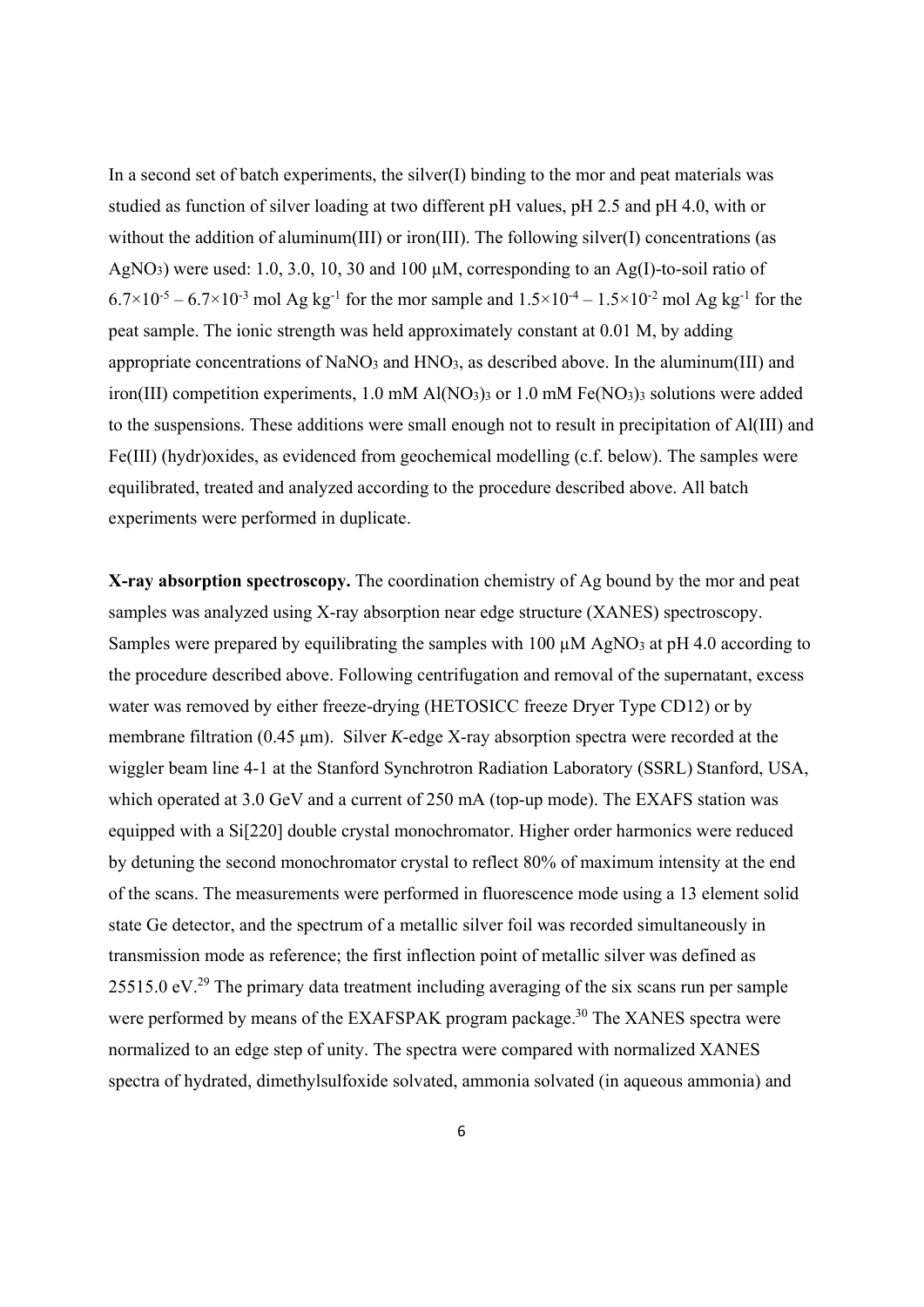In a second set of batch experiments, the silver $(I)$  binding to the mor and peat materials was studied as function of silver loading at two different pH values, pH 2.5 and pH 4.0, with or without the addition of aluminum(III) or iron(III). The following silver(I) concentrations (as AgNO<sub>3</sub>) were used: 1.0, 3.0, 10, 30 and 100  $\mu$ M, corresponding to an Ag(I)-to-soil ratio of  $6.7 \times 10^{-5} - 6.7 \times 10^{-3}$  mol Ag kg<sup>-1</sup> for the mor sample and  $1.5 \times 10^{-4} - 1.5 \times 10^{-2}$  mol Ag kg<sup>-1</sup> for the peat sample. The ionic strength was held approximately constant at 0.01 M, by adding appropriate concentrations of NaNO3 and HNO3, as described above. In the aluminum(III) and iron(III) competition experiments, 1.0 mM Al(NO<sub>3</sub>)<sub>3</sub> or 1.0 mM Fe(NO<sub>3</sub>)<sub>3</sub> solutions were added to the suspensions. These additions were small enough not to result in precipitation of Al(III) and Fe(III) (hydr)oxides, as evidenced from geochemical modelling (c.f. below). The samples were equilibrated, treated and analyzed according to the procedure described above. All batch experiments were performed in duplicate.

**X-ray absorption spectroscopy.** The coordination chemistry of Ag bound by the mor and peat samples was analyzed using X-ray absorption near edge structure (XANES) spectroscopy. Samples were prepared by equilibrating the samples with 100  $\mu$ M AgNO<sub>3</sub> at pH 4.0 according to the procedure described above. Following centrifugation and removal of the supernatant, excess water was removed by either freeze-drying (HETOSICC freeze Dryer Type CD12) or by membrane filtration (0.45 μm). Silver *K*-edge X-ray absorption spectra were recorded at the wiggler beam line 4-1 at the Stanford Synchrotron Radiation Laboratory (SSRL) Stanford, USA, which operated at 3.0 GeV and a current of 250 mA (top-up mode). The EXAFS station was equipped with a Si[220] double crystal monochromator. Higher order harmonics were reduced by detuning the second monochromator crystal to reflect 80% of maximum intensity at the end of the scans. The measurements were performed in fluorescence mode using a 13 element solid state Ge detector, and the spectrum of a metallic silver foil was recorded simultaneously in transmission mode as reference; the first inflection point of metallic silver was defined as 25515.0 eV.<sup>29</sup> The primary data treatment including averaging of the six scans run per sample were performed by means of the EXAFSPAK program package.<sup>30</sup> The XANES spectra were normalized to an edge step of unity. The spectra were compared with normalized XANES spectra of hydrated, dimethylsulfoxide solvated, ammonia solvated (in aqueous ammonia) and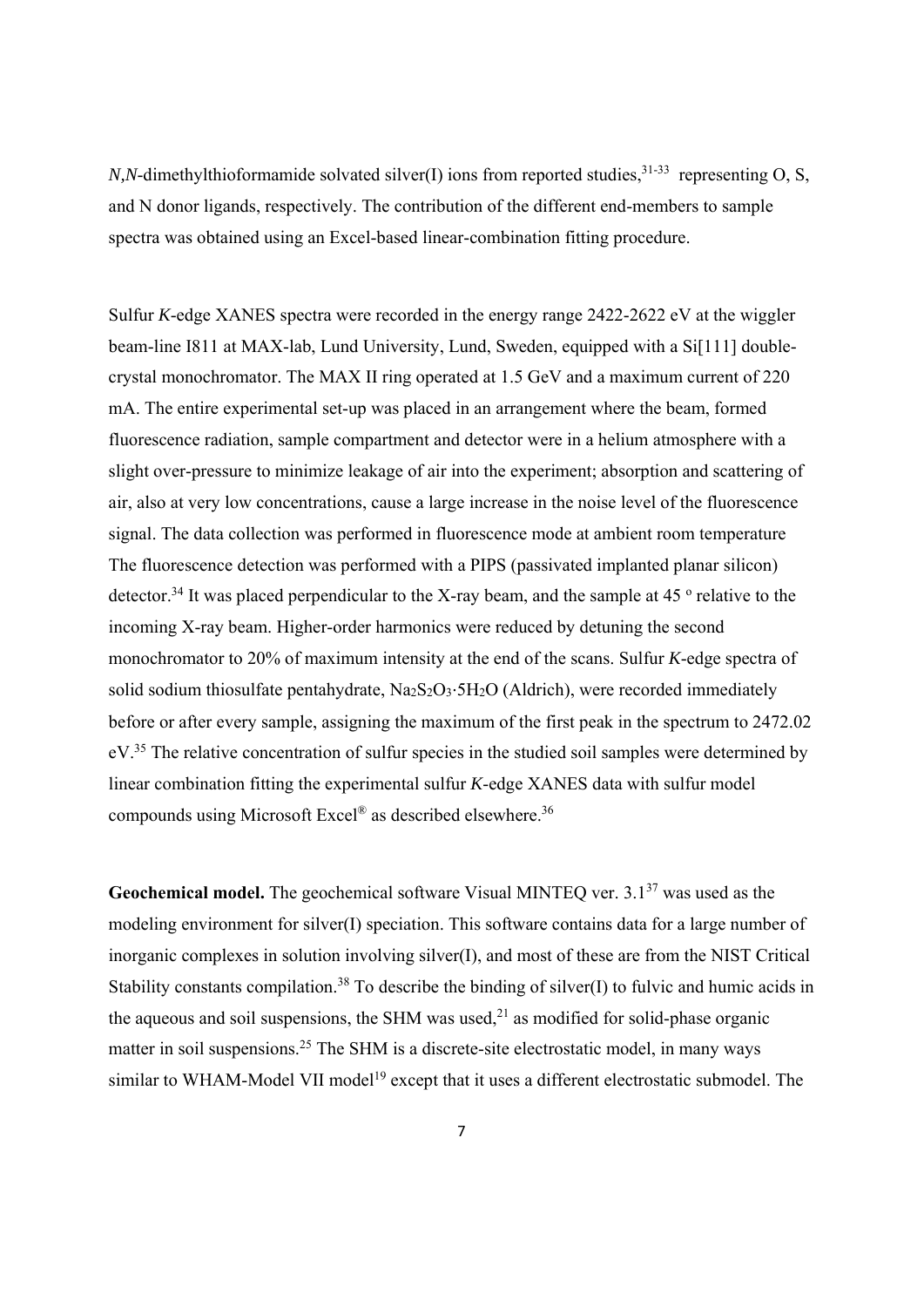*N,N*-dimethylthioformamide solvated silver(I) ions from reported studies,<sup>31-33</sup> representing O, S, and N donor ligands, respectively. The contribution of the different end-members to sample spectra was obtained using an Excel-based linear-combination fitting procedure.

Sulfur *K*-edge XANES spectra were recorded in the energy range 2422-2622 eV at the wiggler beam-line I811 at MAX-lab, Lund University, Lund, Sweden, equipped with a Si[111] doublecrystal monochromator. The MAX II ring operated at 1.5 GeV and a maximum current of 220 mA. The entire experimental set-up was placed in an arrangement where the beam, formed fluorescence radiation, sample compartment and detector were in a helium atmosphere with a slight over-pressure to minimize leakage of air into the experiment; absorption and scattering of air, also at very low concentrations, cause a large increase in the noise level of the fluorescence signal. The data collection was performed in fluorescence mode at ambient room temperature The fluorescence detection was performed with a PIPS (passivated implanted planar silicon) detector.<sup>34</sup> It was placed perpendicular to the X-ray beam, and the sample at 45<sup>°</sup> relative to the incoming X-ray beam. Higher-order harmonics were reduced by detuning the second monochromator to 20% of maximum intensity at the end of the scans. Sulfur *K*-edge spectra of solid sodium thiosulfate pentahydrate, Na<sub>2</sub>S<sub>2</sub>O<sub>3</sub>⋅5H<sub>2</sub>O (Aldrich), were recorded immediately before or after every sample, assigning the maximum of the first peak in the spectrum to 2472.02 eV.<sup>35</sup> The relative concentration of sulfur species in the studied soil samples were determined by linear combination fitting the experimental sulfur *K*-edge XANES data with sulfur model compounds using Microsoft Excel® as described elsewhere.36

**Geochemical model.** The geochemical software Visual MINTEO ver. 3.1<sup>37</sup> was used as the modeling environment for silver(I) speciation. This software contains data for a large number of inorganic complexes in solution involving silver(I), and most of these are from the NIST Critical Stability constants compilation.<sup>38</sup> To describe the binding of silver(I) to fulvic and humic acids in the aqueous and soil suspensions, the SHM was used, $^{21}$  as modified for solid-phase organic matter in soil suspensions.<sup>25</sup> The SHM is a discrete-site electrostatic model, in many ways similar to WHAM-Model VII model<sup>19</sup> except that it uses a different electrostatic submodel. The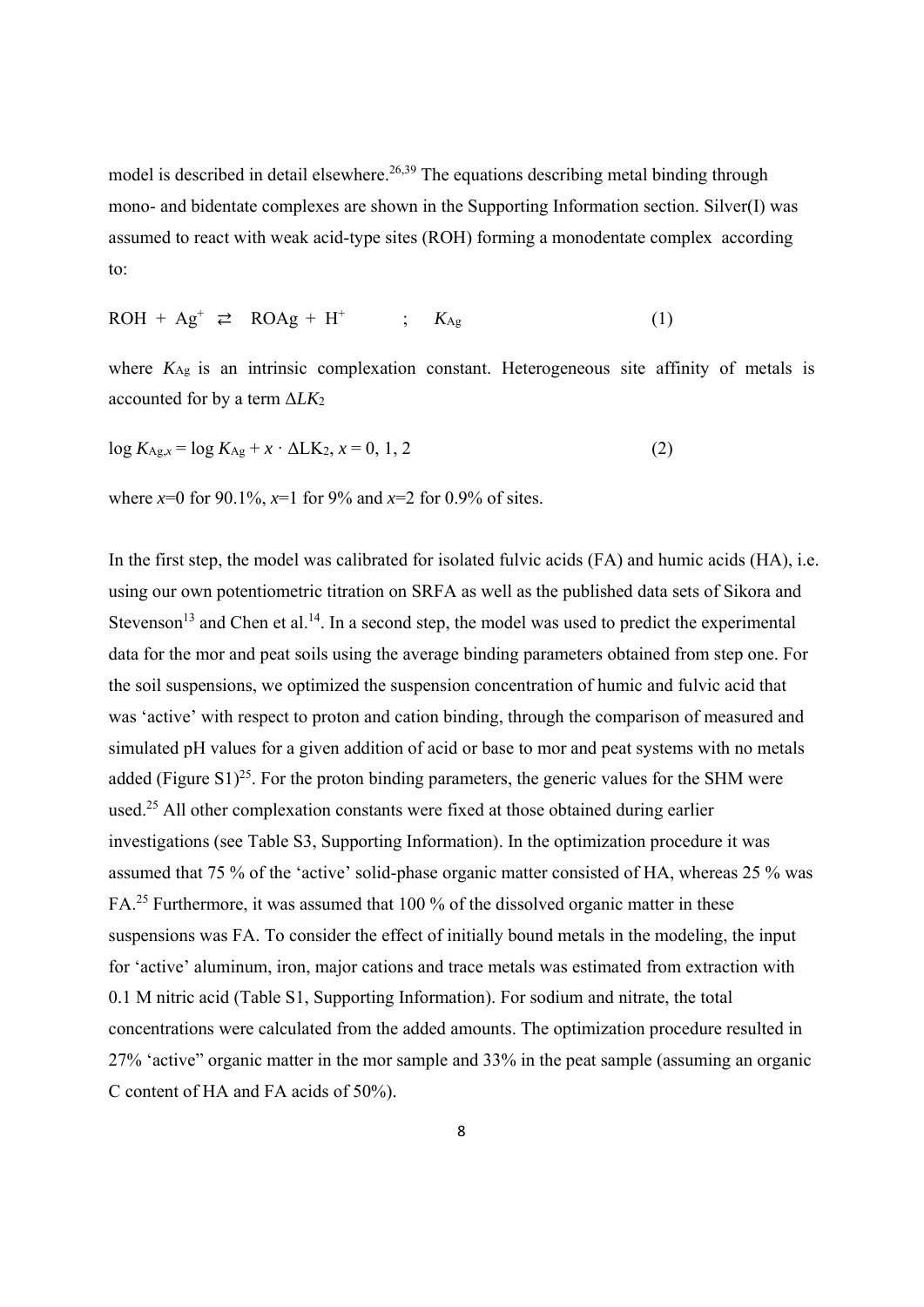model is described in detail elsewhere.<sup>26,39</sup> The equations describing metal binding through mono- and bidentate complexes are shown in the Supporting Information section. Silver(I) was assumed to react with weak acid-type sites (ROH) forming a monodentate complex according to:

$$
ROH + Ag^{+} \geq ROAg + H^{+} \qquad ; \quad K_{Ag} \tag{1}
$$

where  $K_{\text{Ag}}$  is an intrinsic complexation constant. Heterogeneous site affinity of metals is accounted for by a term Δ*LK*<sup>2</sup>

$$
\log K_{\text{Ag},x} = \log K_{\text{Ag}} + x \cdot \Delta L \times x = 0, 1, 2 \tag{2}
$$

where  $x=0$  for 90.1%,  $x=1$  for 9% and  $x=2$  for 0.9% of sites.

In the first step, the model was calibrated for isolated fulvic acids (FA) and humic acids (HA), i.e. using our own potentiometric titration on SRFA as well as the published data sets of Sikora and Stevenson<sup>13</sup> and Chen et al.<sup>14</sup>. In a second step, the model was used to predict the experimental data for the mor and peat soils using the average binding parameters obtained from step one. For the soil suspensions, we optimized the suspension concentration of humic and fulvic acid that was 'active' with respect to proton and cation binding, through the comparison of measured and simulated pH values for a given addition of acid or base to mor and peat systems with no metals added (Figure S1)<sup>25</sup>. For the proton binding parameters, the generic values for the SHM were used.25 All other complexation constants were fixed at those obtained during earlier investigations (see Table S3, Supporting Information). In the optimization procedure it was assumed that 75 % of the 'active' solid-phase organic matter consisted of HA, whereas 25 % was FA.<sup>25</sup> Furthermore, it was assumed that 100 % of the dissolved organic matter in these suspensions was FA. To consider the effect of initially bound metals in the modeling, the input for 'active' aluminum, iron, major cations and trace metals was estimated from extraction with 0.1 M nitric acid (Table S1, Supporting Information). For sodium and nitrate, the total concentrations were calculated from the added amounts. The optimization procedure resulted in 27% 'active" organic matter in the mor sample and 33% in the peat sample (assuming an organic C content of HA and FA acids of 50%).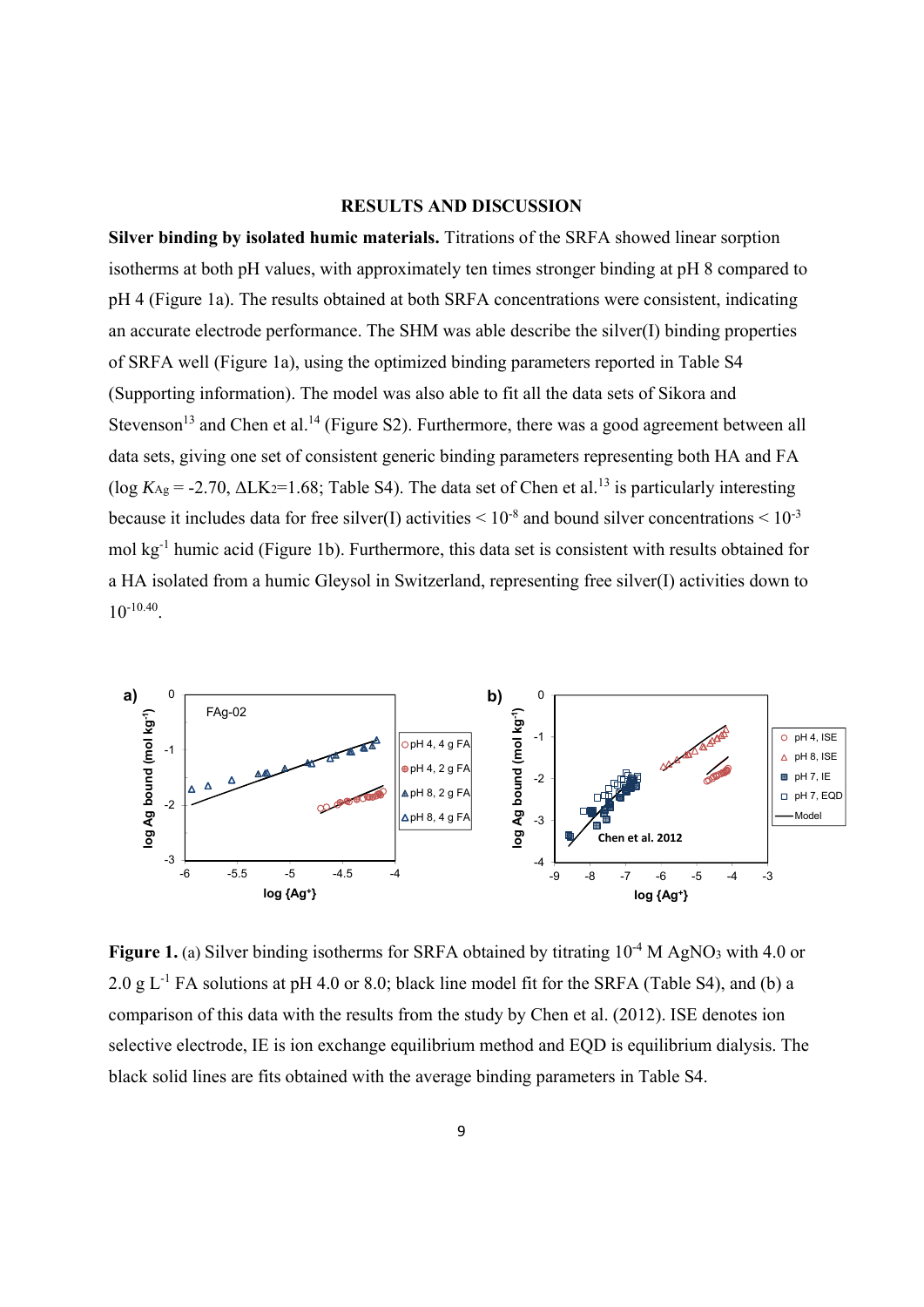#### **RESULTS AND DISCUSSION**

**Silver binding by isolated humic materials.** Titrations of the SRFA showed linear sorption isotherms at both pH values, with approximately ten times stronger binding at pH 8 compared to pH 4 (Figure 1a). The results obtained at both SRFA concentrations were consistent, indicating an accurate electrode performance. The SHM was able describe the silver(I) binding properties of SRFA well (Figure 1a), using the optimized binding parameters reported in Table S4 (Supporting information). The model was also able to fit all the data sets of Sikora and Stevenson<sup>13</sup> and Chen et al.<sup>14</sup> (Figure S2). Furthermore, there was a good agreement between all data sets, giving one set of consistent generic binding parameters representing both HA and FA (log  $K_{\text{Ag}}$  = -2.70,  $\Delta$ LK<sub>2</sub>=1.68; Table S4). The data set of Chen et al.<sup>13</sup> is particularly interesting because it includes data for free silver(I) activities  $\leq 10^{-8}$  and bound silver concentrations  $\leq 10^{-3}$ mol kg-1 humic acid (Figure 1b). Furthermore, this data set is consistent with results obtained for a HA isolated from a humic Gleysol in Switzerland, representing free silver(I) activities down to  $10^{-10.40}$ .



**Figure 1.** (a) Silver binding isotherms for SRFA obtained by titrating  $10^{-4}$  M AgNO<sub>3</sub> with 4.0 or 2.0 g  $L^{-1}$  FA solutions at pH 4.0 or 8.0; black line model fit for the SRFA (Table S4), and (b) a comparison of this data with the results from the study by Chen et al. (2012). ISE denotes ion selective electrode, IE is ion exchange equilibrium method and EQD is equilibrium dialysis. The black solid lines are fits obtained with the average binding parameters in Table S4.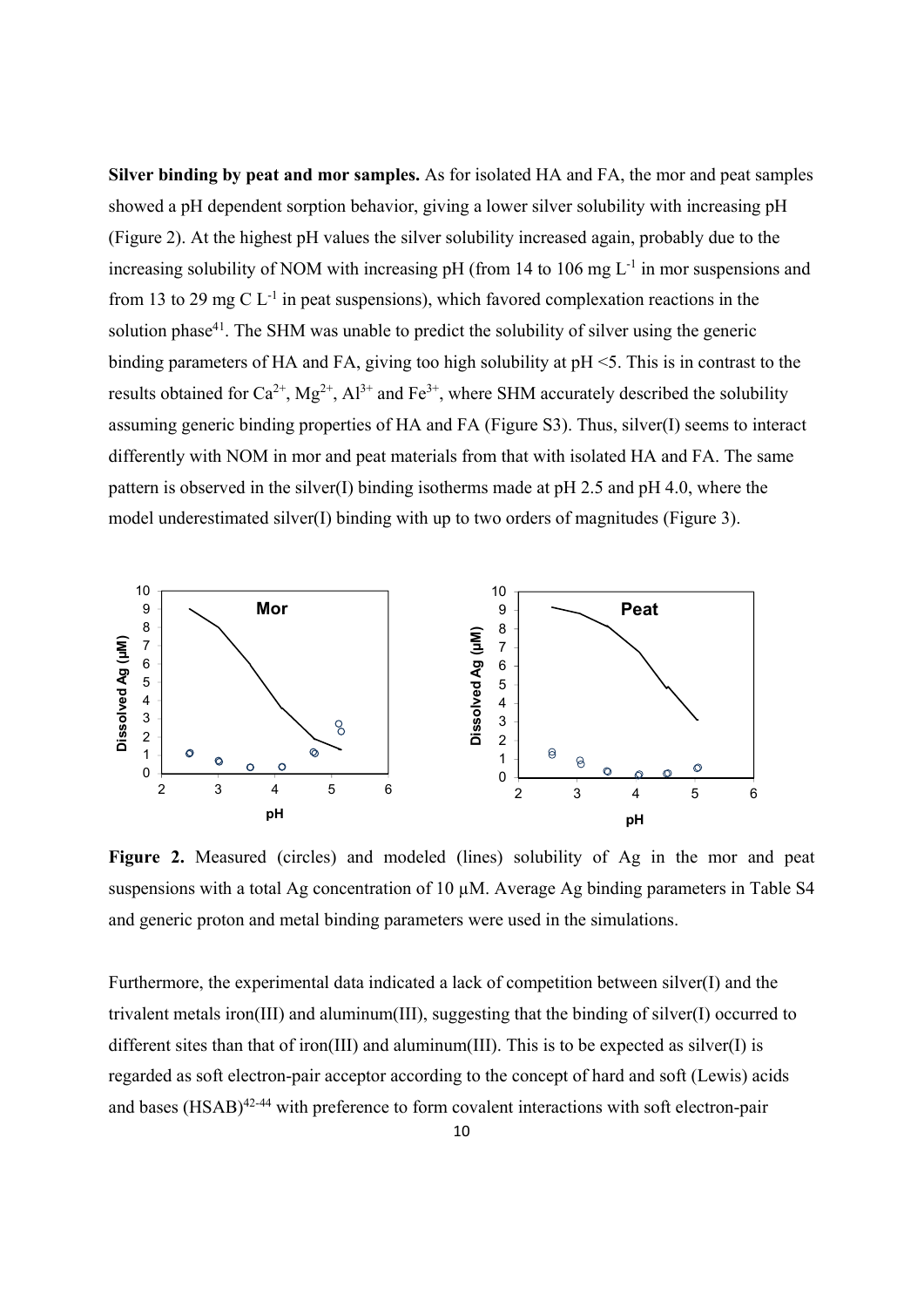**Silver binding by peat and mor samples.** As for isolated HA and FA, the mor and peat samples showed a pH dependent sorption behavior, giving a lower silver solubility with increasing pH (Figure 2). At the highest pH values the silver solubility increased again, probably due to the increasing solubility of NOM with increasing pH (from 14 to 106 mg  $L^{-1}$  in mor suspensions and from 13 to 29 mg C  $L^{-1}$  in peat suspensions), which favored complexation reactions in the solution phase<sup>41</sup>. The SHM was unable to predict the solubility of silver using the generic binding parameters of HA and FA, giving too high solubility at pH <5. This is in contrast to the results obtained for  $Ca^{2+}$ ,  $Mg^{2+}$ ,  $Al^{3+}$  and  $Fe^{3+}$ , where SHM accurately described the solubility assuming generic binding properties of HA and FA (Figure S3). Thus, silver(I) seems to interact differently with NOM in mor and peat materials from that with isolated HA and FA. The same pattern is observed in the silver(I) binding isotherms made at  $pH$  2.5 and  $pH$  4.0, where the model underestimated silver(I) binding with up to two orders of magnitudes (Figure 3).



**Figure 2.** Measured (circles) and modeled (lines) solubility of Ag in the mor and peat suspensions with a total Ag concentration of 10 µM. Average Ag binding parameters in Table S4 and generic proton and metal binding parameters were used in the simulations.

Furthermore, the experimental data indicated a lack of competition between silver(I) and the trivalent metals iron(III) and aluminum(III), suggesting that the binding of silver(I) occurred to different sites than that of iron(III) and aluminum(III). This is to be expected as silver(I) is regarded as soft electron-pair acceptor according to the concept of hard and soft (Lewis) acids and bases  $(HSAB)^{42-44}$  with preference to form covalent interactions with soft electron-pair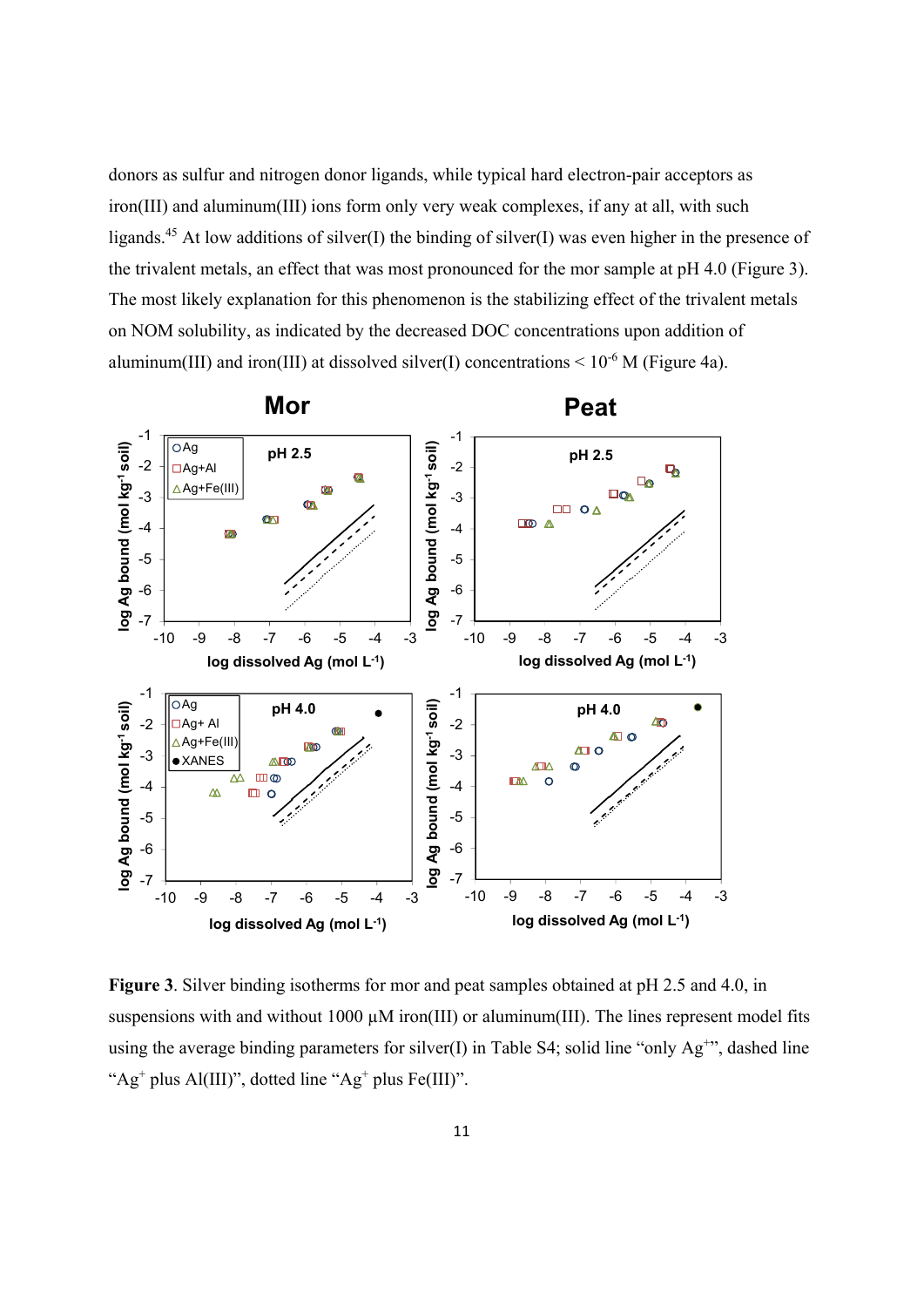donors as sulfur and nitrogen donor ligands, while typical hard electron-pair acceptors as iron(III) and aluminum(III) ions form only very weak complexes, if any at all, with such ligands.<sup>45</sup> At low additions of silver(I) the binding of silver(I) was even higher in the presence of the trivalent metals, an effect that was most pronounced for the mor sample at pH 4.0 (Figure 3). The most likely explanation for this phenomenon is the stabilizing effect of the trivalent metals on NOM solubility, as indicated by the decreased DOC concentrations upon addition of aluminum(III) and iron(III) at dissolved silver(I) concentrations  $\leq 10^{-6}$  M (Figure 4a).



**Figure 3**. Silver binding isotherms for mor and peat samples obtained at pH 2.5 and 4.0, in suspensions with and without 1000 µM iron(III) or aluminum(III). The lines represent model fits using the average binding parameters for silver(I) in Table S4; solid line "only  $Ag^{+}$ ", dashed line " $Ag<sup>+</sup>$  plus Al(III)", dotted line "Ag<sup>+</sup> plus Fe(III)".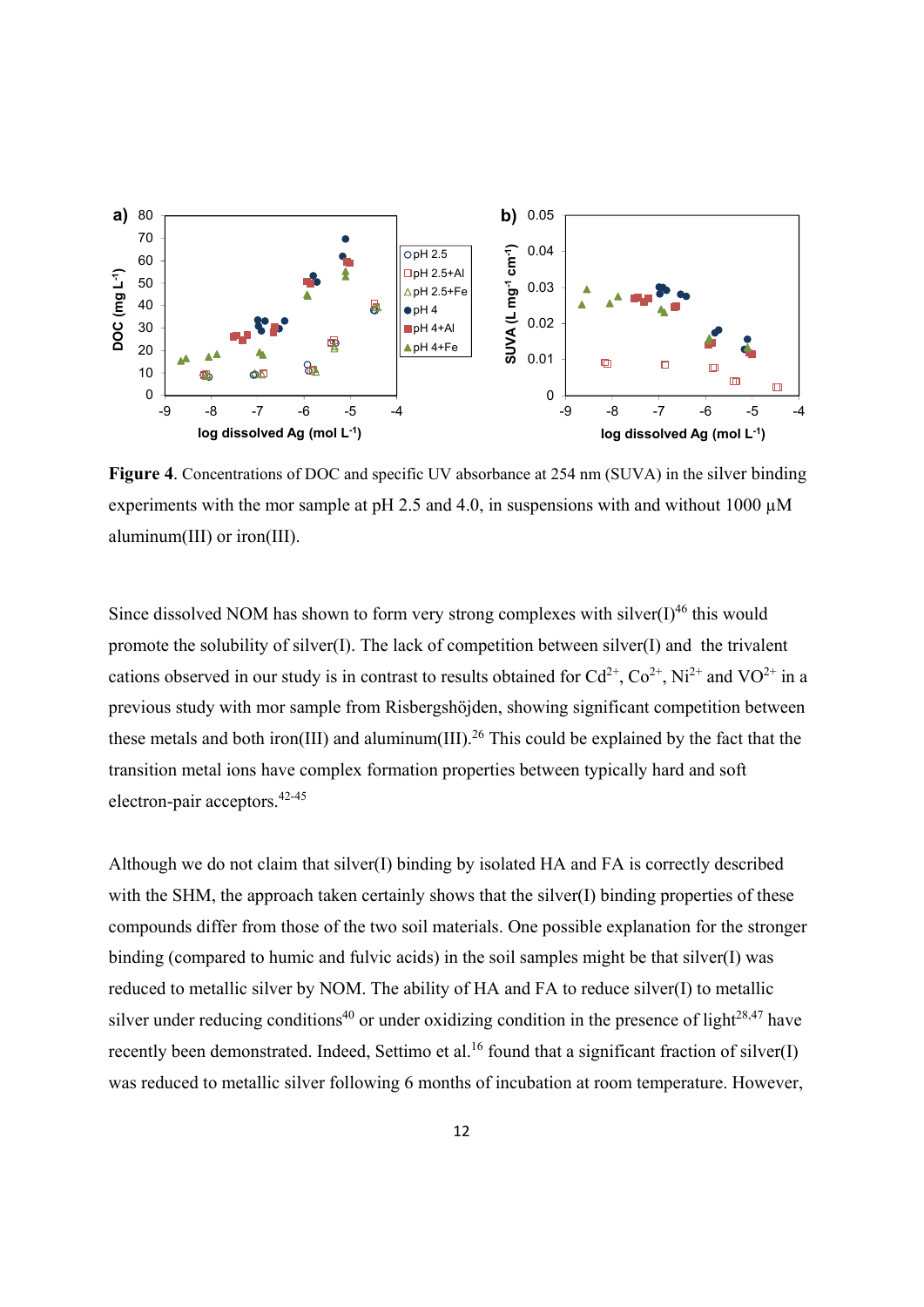

Figure 4. Concentrations of DOC and specific UV absorbance at 254 nm (SUVA) in the silver binding experiments with the mor sample at pH 2.5 and 4.0, in suspensions with and without 1000  $\mu$ M aluminum(III) or iron(III).

Since dissolved NOM has shown to form very strong complexes with silver( $I$ )<sup>46</sup> this would promote the solubility of silver(I). The lack of competition between silver(I) and the trivalent cations observed in our study is in contrast to results obtained for  $Cd^{2+}$ ,  $Co^{2+}$ , Ni<sup>2+</sup> and VO<sup>2+</sup> in a previous study with mor sample from Risbergshöjden, showing significant competition between these metals and both iron(III) and aluminum(III).<sup>26</sup> This could be explained by the fact that the transition metal ions have complex formation properties between typically hard and soft electron-pair acceptors.42-45

Although we do not claim that silver(I) binding by isolated HA and FA is correctly described with the SHM, the approach taken certainly shows that the silver(I) binding properties of these compounds differ from those of the two soil materials. One possible explanation for the stronger binding (compared to humic and fulvic acids) in the soil samples might be that silver(I) was reduced to metallic silver by NOM. The ability of HA and FA to reduce silver(I) to metallic silver under reducing conditions<sup>40</sup> or under oxidizing condition in the presence of light<sup>28,47</sup> have recently been demonstrated. Indeed, Settimo et al.<sup>16</sup> found that a significant fraction of silver(I) was reduced to metallic silver following 6 months of incubation at room temperature. However,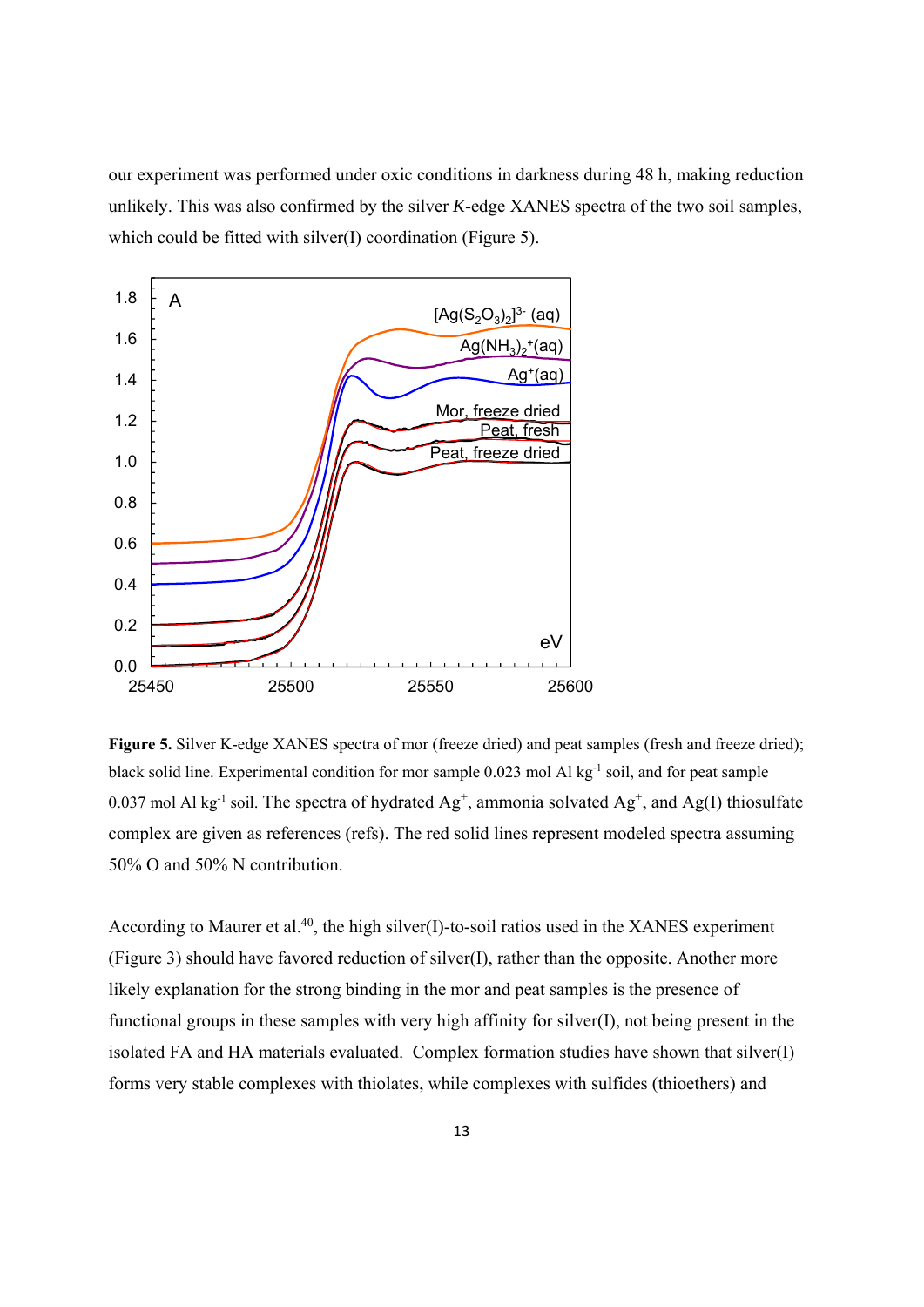our experiment was performed under oxic conditions in darkness during 48 h, making reduction unlikely. This was also confirmed by the silver *K*-edge XANES spectra of the two soil samples, which could be fitted with silver(I) coordination (Figure 5).



Figure 5. Silver K-edge XANES spectra of mor (freeze dried) and peat samples (fresh and freeze dried); black solid line. Experimental condition for mor sample 0.023 mol Al kg<sup>-1</sup> soil, and for peat sample 0.037 mol Al kg<sup>-1</sup> soil. The spectra of hydrated  $Ag^+$ , ammonia solvated  $Ag^+$ , and  $Ag(I)$  thiosulfate complex are given as references (refs). The red solid lines represent modeled spectra assuming 50% O and 50% N contribution.

According to Maurer et al.<sup>40</sup>, the high silver(I)-to-soil ratios used in the XANES experiment (Figure 3) should have favored reduction of silver(I), rather than the opposite. Another more likely explanation for the strong binding in the mor and peat samples is the presence of functional groups in these samples with very high affinity for silver(I), not being present in the isolated FA and HA materials evaluated. Complex formation studies have shown that silver(I) forms very stable complexes with thiolates, while complexes with sulfides (thioethers) and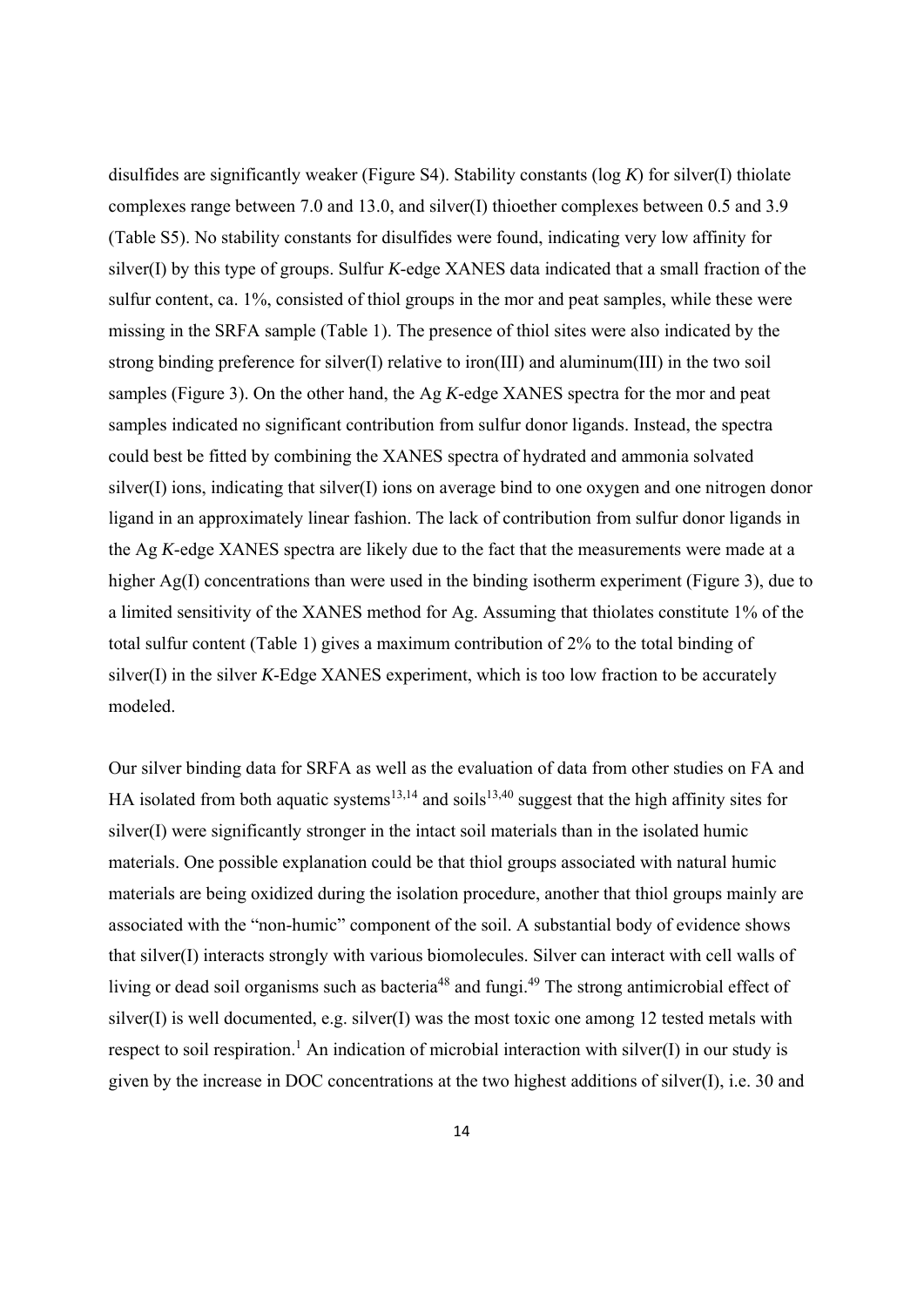disulfides are significantly weaker (Figure S4). Stability constants (log *K*) for silver(I) thiolate complexes range between 7.0 and 13.0, and silver(I) thioether complexes between 0.5 and 3.9 (Table S5). No stability constants for disulfides were found, indicating very low affinity for silver(I) by this type of groups. Sulfur *K*-edge XANES data indicated that a small fraction of the sulfur content, ca. 1%, consisted of thiol groups in the mor and peat samples, while these were missing in the SRFA sample (Table 1). The presence of thiol sites were also indicated by the strong binding preference for silver(I) relative to iron(III) and aluminum(III) in the two soil samples (Figure 3). On the other hand, the Ag *K*-edge XANES spectra for the mor and peat samples indicated no significant contribution from sulfur donor ligands. Instead, the spectra could best be fitted by combining the XANES spectra of hydrated and ammonia solvated silver(I) ions, indicating that silver(I) ions on average bind to one oxygen and one nitrogen donor ligand in an approximately linear fashion. The lack of contribution from sulfur donor ligands in the Ag *K*-edge XANES spectra are likely due to the fact that the measurements were made at a higher Ag(I) concentrations than were used in the binding isotherm experiment (Figure 3), due to a limited sensitivity of the XANES method for Ag. Assuming that thiolates constitute 1% of the total sulfur content (Table 1) gives a maximum contribution of 2% to the total binding of silver(I) in the silver *K*-Edge XANES experiment, which is too low fraction to be accurately modeled.

Our silver binding data for SRFA as well as the evaluation of data from other studies on FA and HA isolated from both aquatic systems<sup>13,14</sup> and soils<sup>13,40</sup> suggest that the high affinity sites for silver(I) were significantly stronger in the intact soil materials than in the isolated humic materials. One possible explanation could be that thiol groups associated with natural humic materials are being oxidized during the isolation procedure, another that thiol groups mainly are associated with the "non-humic" component of the soil. A substantial body of evidence shows that silver(I) interacts strongly with various biomolecules. Silver can interact with cell walls of living or dead soil organisms such as bacteria<sup>48</sup> and fungi.<sup>49</sup> The strong antimicrobial effect of silver(I) is well documented, e.g. silver(I) was the most toxic one among 12 tested metals with respect to soil respiration.<sup>1</sup> An indication of microbial interaction with silver(I) in our study is given by the increase in DOC concentrations at the two highest additions of silver(I), i.e. 30 and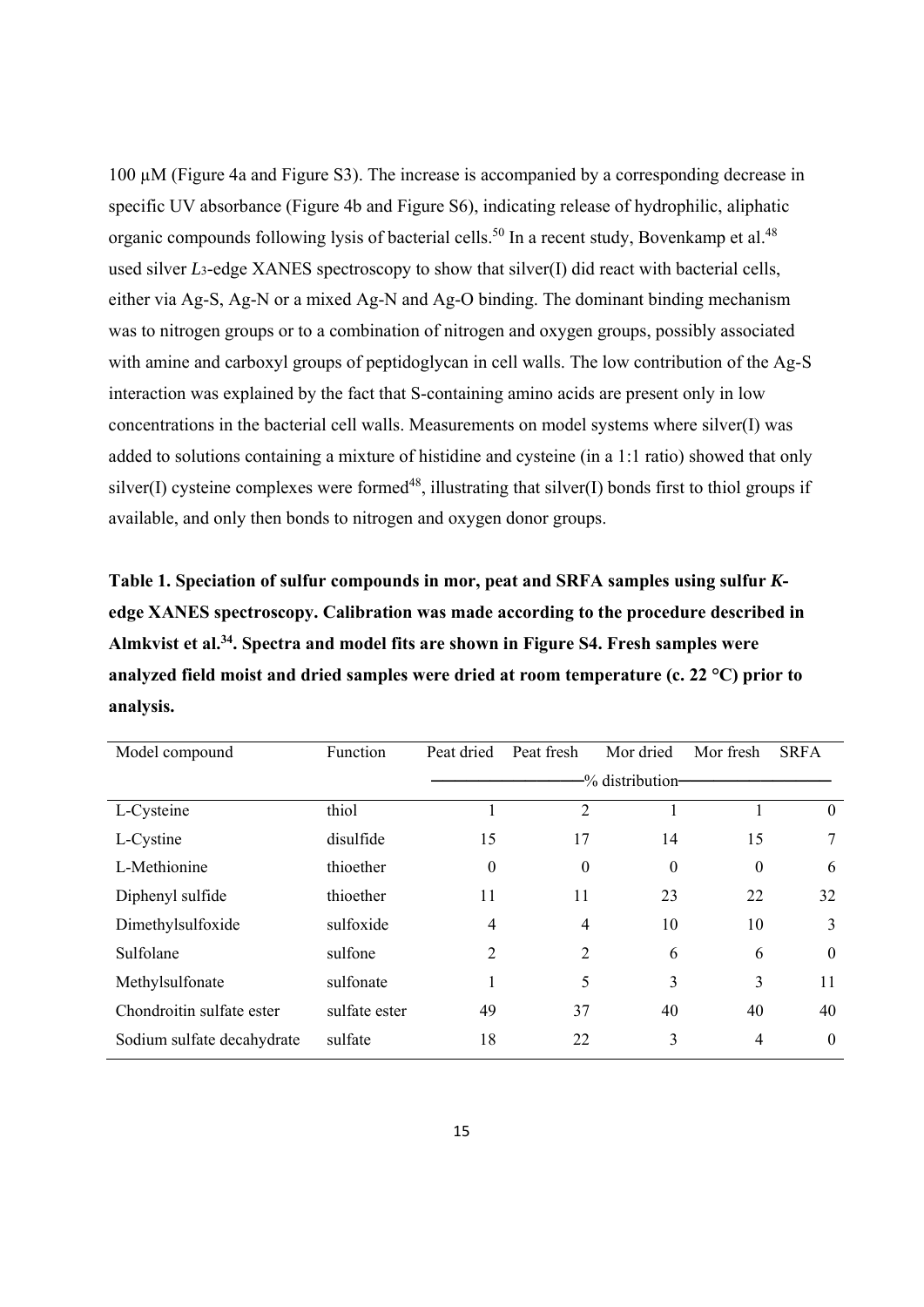100 µM (Figure 4a and Figure S3). The increase is accompanied by a corresponding decrease in specific UV absorbance (Figure 4b and Figure S6), indicating release of hydrophilic, aliphatic organic compounds following lysis of bacterial cells.<sup>50</sup> In a recent study, Bovenkamp et al.<sup>48</sup> used silver *L*3-edge XANES spectroscopy to show that silver(I) did react with bacterial cells, either via Ag-S, Ag-N or a mixed Ag-N and Ag-O binding. The dominant binding mechanism was to nitrogen groups or to a combination of nitrogen and oxygen groups, possibly associated with amine and carboxyl groups of peptidoglycan in cell walls. The low contribution of the Ag-S interaction was explained by the fact that S-containing amino acids are present only in low concentrations in the bacterial cell walls. Measurements on model systems where silver(I) was added to solutions containing a mixture of histidine and cysteine (in a 1:1 ratio) showed that only silver(I) cysteine complexes were formed<sup>48</sup>, illustrating that silver(I) bonds first to thiol groups if available, and only then bonds to nitrogen and oxygen donor groups.

**Table 1. Speciation of sulfur compounds in mor, peat and SRFA samples using sulfur** *K***edge XANES spectroscopy. Calibration was made according to the procedure described in Almkvist et al.34. Spectra and model fits are shown in Figure S4. Fresh samples were analyzed field moist and dried samples were dried at room temperature (c. 22 °C) prior to analysis.** 

| Model compound             | Function      | Peat dried | Peat fresh       | Mor dried        | Mor fresh        | <b>SRFA</b>    |
|----------------------------|---------------|------------|------------------|------------------|------------------|----------------|
|                            |               |            |                  | -% distribution- |                  |                |
| L-Cysteine                 | thiol         |            | $\overline{2}$   |                  |                  | $\theta$       |
| L-Cystine                  | disulfide     | 15         | 17               | 14               | 15               | 7              |
| L-Methionine               | thioether     | $\theta$   | $\boldsymbol{0}$ | $\theta$         | $\boldsymbol{0}$ | 6              |
| Diphenyl sulfide           | thioether     | 11         | 11               | 23               | 22               | 32             |
| Dimethylsulfoxide          | sulfoxide     | 4          | $\overline{4}$   | 10               | 10               | 3              |
| Sulfolane                  | sulfone       | 2          | $\overline{2}$   | 6                | 6                | $\overline{0}$ |
| Methylsulfonate            | sulfonate     |            | 5                | 3                | 3                | 11             |
| Chondroitin sulfate ester  | sulfate ester | 49         | 37               | 40               | 40               | 40             |
| Sodium sulfate decahydrate | sulfate       | 18         | 22               | 3                | 4                | $\theta$       |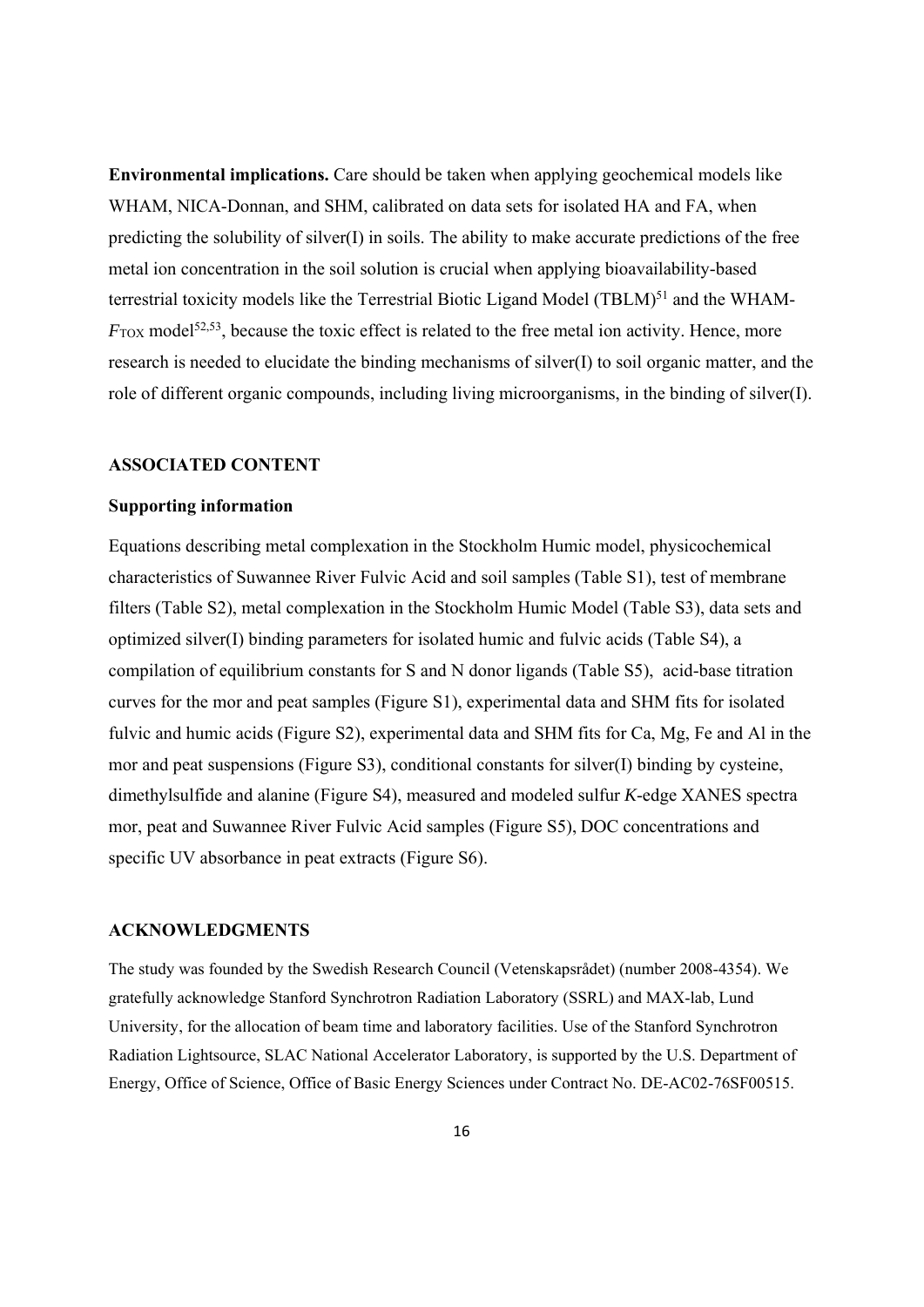**Environmental implications.** Care should be taken when applying geochemical models like WHAM, NICA-Donnan, and SHM, calibrated on data sets for isolated HA and FA, when predicting the solubility of silver(I) in soils. The ability to make accurate predictions of the free metal ion concentration in the soil solution is crucial when applying bioavailability-based terrestrial toxicity models like the Terrestrial Biotic Ligand Model (TBLM)<sup>51</sup> and the WHAM-*F*<sub>TOX</sub> model<sup>52,53</sup>, because the toxic effect is related to the free metal ion activity. Hence, more research is needed to elucidate the binding mechanisms of silver $(I)$  to soil organic matter, and the role of different organic compounds, including living microorganisms, in the binding of silver(I).

#### **ASSOCIATED CONTENT**

### **Supporting information**

Equations describing metal complexation in the Stockholm Humic model, physicochemical characteristics of Suwannee River Fulvic Acid and soil samples (Table S1), test of membrane filters (Table S2), metal complexation in the Stockholm Humic Model (Table S3), data sets and optimized silver(I) binding parameters for isolated humic and fulvic acids (Table S4), a compilation of equilibrium constants for S and N donor ligands (Table S5), acid-base titration curves for the mor and peat samples (Figure S1), experimental data and SHM fits for isolated fulvic and humic acids (Figure S2), experimental data and SHM fits for Ca, Mg, Fe and Al in the mor and peat suspensions (Figure S3), conditional constants for silver(I) binding by cysteine, dimethylsulfide and alanine (Figure S4), measured and modeled sulfur *K*-edge XANES spectra mor, peat and Suwannee River Fulvic Acid samples (Figure S5), DOC concentrations and specific UV absorbance in peat extracts (Figure S6).

### **ACKNOWLEDGMENTS**

The study was founded by the Swedish Research Council (Vetenskapsrådet) (number 2008-4354). We gratefully acknowledge Stanford Synchrotron Radiation Laboratory (SSRL) and MAX-lab, Lund University, for the allocation of beam time and laboratory facilities. Use of the Stanford Synchrotron Radiation Lightsource, SLAC National Accelerator Laboratory, is supported by the U.S. Department of Energy, Office of Science, Office of Basic Energy Sciences under Contract No. DE-AC02-76SF00515.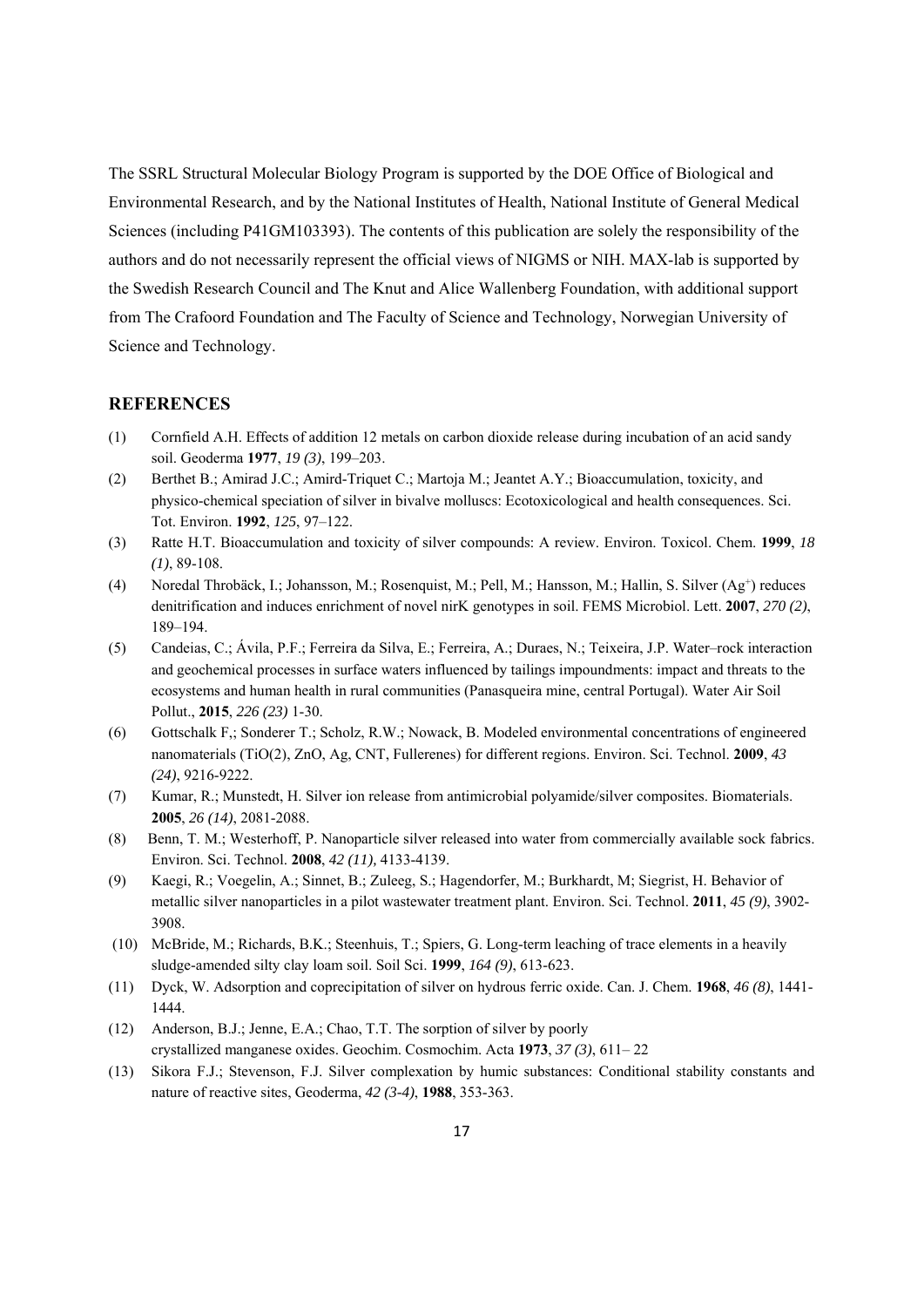The SSRL Structural Molecular Biology Program is supported by the DOE Office of Biological and Environmental Research, and by the National Institutes of Health, National Institute of General Medical Sciences (including P41GM103393). The contents of this publication are solely the responsibility of the authors and do not necessarily represent the official views of NIGMS or NIH. MAX-lab is supported by the Swedish Research Council and The Knut and Alice Wallenberg Foundation, with additional support from The Crafoord Foundation and The Faculty of Science and Technology, Norwegian University of Science and Technology.

#### **REFERENCES**

- (1) Cornfield A.H. Effects of addition 12 metals on carbon dioxide release during incubation of an acid sandy soil. Geoderma **1977**, *19 (3)*, 199–203.
- (2) Berthet B.; Amirad J.C.; Amird-Triquet C.; Martoja M.; Jeantet A.Y.; Bioaccumulation, toxicity, and physico-chemical speciation of silver in bivalve molluscs: Ecotoxicological and health consequences. Sci. Tot. Environ. **1992**, *125*, 97–122.
- (3) Ratte H.T. Bioaccumulation and toxicity of silver compounds: A review. Environ. Toxicol. Chem. **1999**, *18 (1)*, 89-108.
- (4) Noredal Throbäck, I.; Johansson, M.; Rosenquist, M.; Pell, M.; Hansson, M.; Hallin, S. Silver (Ag+) reduces denitrification and induces enrichment of novel nirK genotypes in soil. FEMS Microbiol. Lett. **2007**, *270 (2)*, 189–194.
- (5) Candeias, C.; Ávila, P.F.; Ferreira da Silva, E.; Ferreira, A.; Duraes, N.; Teixeira, J.P. Water–rock interaction and geochemical processes in surface waters influenced by tailings impoundments: impact and threats to the ecosystems and human health in rural communities (Panasqueira mine, central Portugal). Water Air Soil Pollut., **2015**, *226 (23)* 1-30.
- (6) Gottschalk F,; Sonderer T.; Scholz, R.W.; Nowack, B. Modeled environmental concentrations of engineered nanomaterials (TiO(2), ZnO, Ag, CNT, Fullerenes) for different regions. Environ. Sci. Technol. **2009**, *43 (24)*, 9216-9222.
- (7) Kumar, R.; Munstedt, H. Silver ion release from antimicrobial polyamide/silver composites. Biomaterials. **2005**, *26 (14)*, 2081-2088.
- (8) Benn, T. M.; Westerhoff, P. Nanoparticle silver released into water from commercially available sock fabrics. Environ. Sci. Technol. **2008**, *42 (11),* 4133-4139.
- (9) Kaegi, R.; Voegelin, A.; Sinnet, B.; Zuleeg, S.; Hagendorfer, M.; Burkhardt, M; Siegrist, H. Behavior of metallic silver nanoparticles in a pilot wastewater treatment plant. Environ. Sci. Technol. **2011**, *45 (9)*, 3902- 3908.
- (10) McBride, M.; Richards, B.K.; Steenhuis, T.; Spiers, G. Long-term leaching of trace elements in a heavily sludge-amended silty clay loam soil. Soil Sci. **1999**, *164 (9)*, 613-623.
- (11) Dyck, W. Adsorption and coprecipitation of silver on hydrous ferric oxide. Can. J. Chem. **1968**, *46 (8)*, 1441- 1444.
- (12) Anderson, B.J.; Jenne, E.A.; Chao, T.T. The sorption of silver by poorly crystallized manganese oxides. Geochim. Cosmochim. Acta **1973**, *37 (3)*, 611– 22
- (13) Sikora F.J.; Stevenson, F.J. Silver complexation by humic substances: Conditional stability constants and nature of reactive sites, Geoderma, *42 (3-4)*, **1988**, 353-363.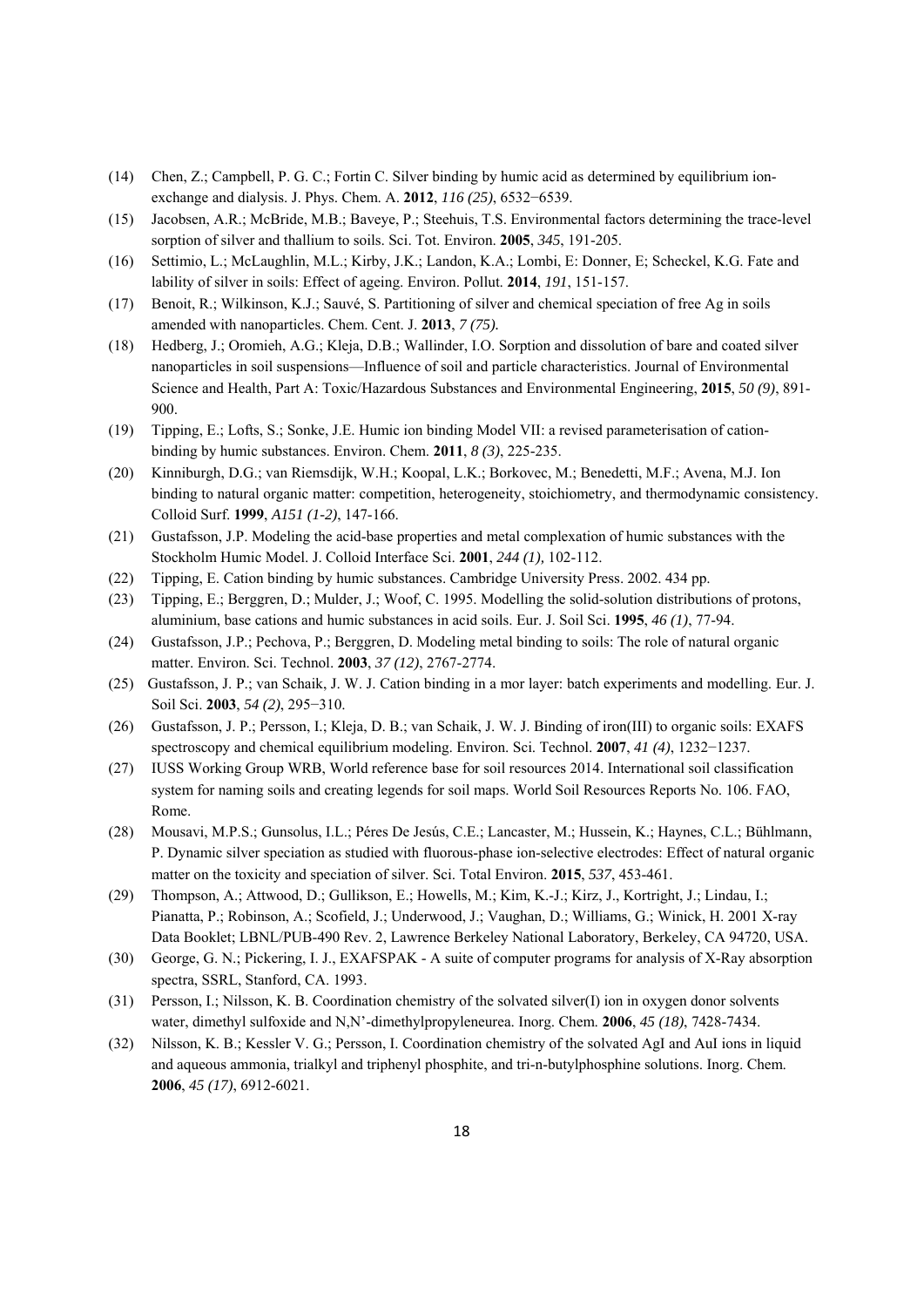- (14) Chen, Z.; Campbell, P. G. C.; Fortin C. Silver binding by humic acid as determined by equilibrium ionexchange and dialysis. J. Phys. Chem. A. **2012**, *116 (25)*, 6532−6539.
- (15) Jacobsen, A.R.; McBride, M.B.; Baveye, P.; Steehuis, T.S. Environmental factors determining the trace-level sorption of silver and thallium to soils. Sci. Tot. Environ. **2005**, *345*, 191-205.
- (16) Settimio, L.; McLaughlin, M.L.; Kirby, J.K.; Landon, K.A.; Lombi, E: Donner, E; Scheckel, K.G. Fate and lability of silver in soils: Effect of ageing. Environ. Pollut. **2014**, *191*, 151-157.
- (17) Benoit, R.; Wilkinson, K.J.; Sauvé, S. Partitioning of silver and chemical speciation of free Ag in soils amended with nanoparticles. Chem. Cent. J. **2013**, *7 (75).*
- (18) Hedberg, J.; Oromieh, A.G.; Kleja, D.B.; Wallinder, I.O. Sorption and dissolution of bare and coated silver nanoparticles in soil suspensions—Influence of soil and particle characteristics. Journal of Environmental Science and Health, Part A: Toxic/Hazardous Substances and Environmental Engineering, **2015**, *50 (9)*, 891- 900.
- (19) Tipping, E.; Lofts, S.; Sonke, J.E. Humic ion binding Model VII: a revised parameterisation of cationbinding by humic substances. Environ. Chem. **2011**, *8 (3)*, 225-235.
- (20) Kinniburgh, D.G.; van Riemsdijk, W.H.; Koopal, L.K.; Borkovec, M.; Benedetti, M.F.; Avena, M.J. Ion binding to natural organic matter: competition, heterogeneity, stoichiometry, and thermodynamic consistency. Colloid Surf. **1999**, *A151 (1-2)*, 147-166.
- (21) Gustafsson, J.P. Modeling the acid-base properties and metal complexation of humic substances with the Stockholm Humic Model. J. Colloid Interface Sci. **2001**, *244 (1),* 102-112.
- (22) Tipping, E. Cation binding by humic substances. Cambridge University Press. 2002. 434 pp.
- (23) Tipping, E.; Berggren, D.; Mulder, J.; Woof, C. 1995. Modelling the solid-solution distributions of protons, aluminium, base cations and humic substances in acid soils. Eur. J. Soil Sci. **1995**, *46 (1)*, 77-94.
- (24) Gustafsson, J.P.; Pechova, P.; Berggren, D. Modeling metal binding to soils: The role of natural organic matter. Environ. Sci. Technol. **2003**, *37 (12)*, 2767-2774.
- (25) Gustafsson, J. P.; van Schaik, J. W. J. Cation binding in a mor layer: batch experiments and modelling. Eur. J. Soil Sci. **2003**, *54 (2)*, 295−310.
- (26) Gustafsson, J. P.; Persson, I.; Kleja, D. B.; van Schaik, J. W. J. Binding of iron(III) to organic soils: EXAFS spectroscopy and chemical equilibrium modeling. Environ. Sci. Technol. **2007**, *41 (4)*, 1232−1237.
- (27) IUSS Working Group WRB, World reference base for soil resources 2014. International soil classification system for naming soils and creating legends for soil maps. World Soil Resources Reports No. 106. FAO, Rome.
- (28) Mousavi, M.P.S.; Gunsolus, I.L.; Péres De Jesús, C.E.; Lancaster, M.; Hussein, K.; Haynes, C.L.; Bühlmann, P. Dynamic silver speciation as studied with fluorous-phase ion-selective electrodes: Effect of natural organic matter on the toxicity and speciation of silver. Sci. Total Environ. **2015**, *537*, 453-461.
- (29) Thompson, A.; Attwood, D.; Gullikson, E.; Howells, M.; Kim, K.-J.; Kirz, J., Kortright, J.; Lindau, I.; Pianatta, P.; Robinson, A.; Scofield, J.; Underwood, J.; Vaughan, D.; Williams, G.; Winick, H. 2001 X-ray Data Booklet; LBNL/PUB-490 Rev. 2, Lawrence Berkeley National Laboratory, Berkeley, CA 94720, USA.
- (30) George, G. N.; Pickering, I. J., EXAFSPAK A suite of computer programs for analysis of X-Ray absorption spectra, SSRL, Stanford, CA. 1993.
- (31) Persson, I.; Nilsson, K. B. Coordination chemistry of the solvated silver(I) ion in oxygen donor solvents water, dimethyl sulfoxide and N,N'-dimethylpropyleneurea. Inorg. Chem. **2006**, *45 (18)*, 7428-7434.
- (32) Nilsson, K. B.; Kessler V. G.; Persson, I. Coordination chemistry of the solvated AgI and AuI ions in liquid and aqueous ammonia, trialkyl and triphenyl phosphite, and tri-n-butylphosphine solutions. Inorg. Chem. **2006**, *45 (17)*, 6912-6021.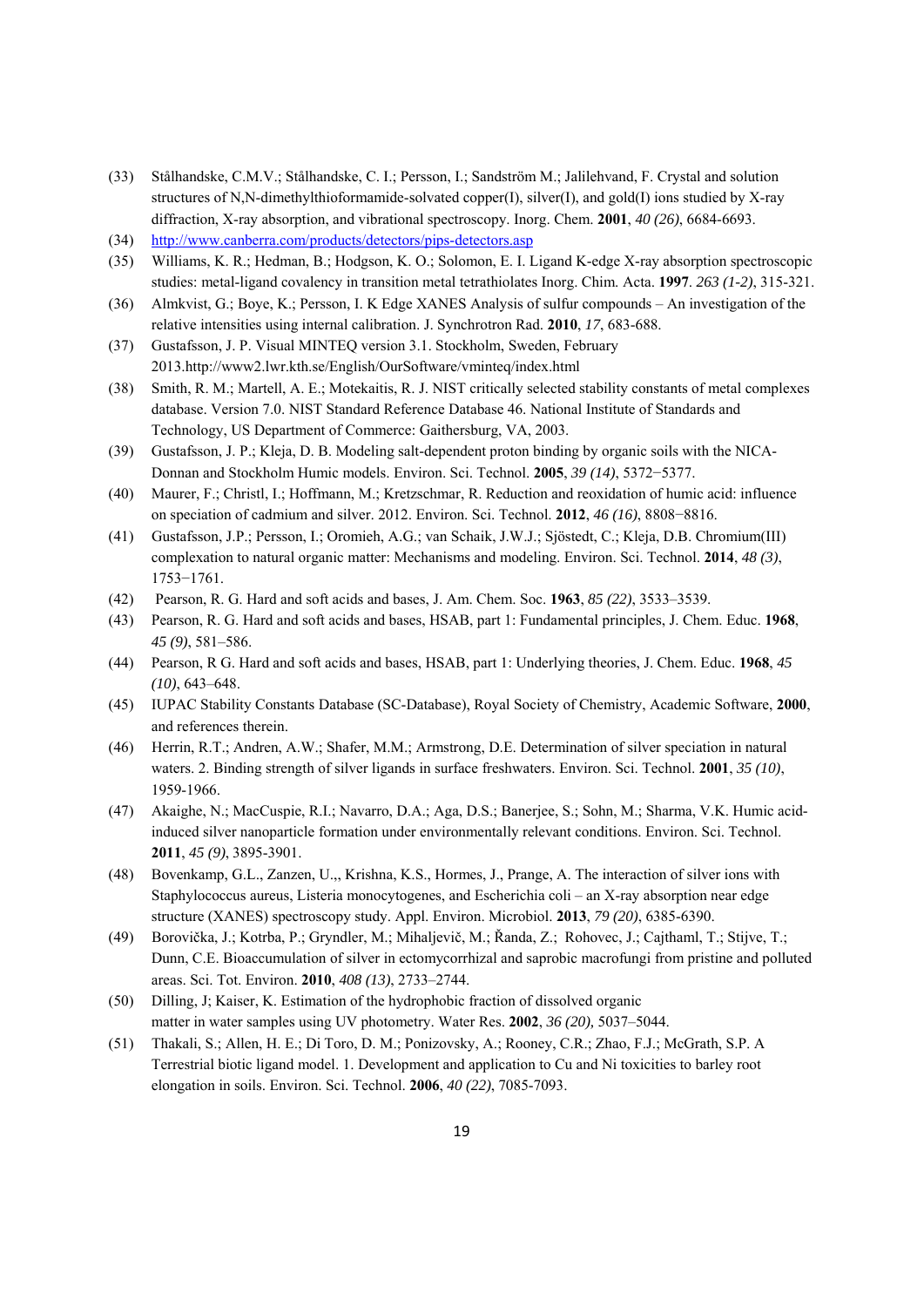- (33) Stålhandske, C.M.V.; Stålhandske, C. I.; Persson, I.; Sandström M.; Jalilehvand, F. Crystal and solution structures of N,N-dimethylthioformamide-solvated copper(I), silver(I), and gold(I) ions studied by X-ray diffraction, X-ray absorption, and vibrational spectroscopy. Inorg. Chem. **2001**, *40 (26)*, 6684-6693.
- (34) http://www.canberra.com/products/detectors/pips-detectors.asp
- (35) Williams, K. R.; Hedman, B.; Hodgson, K. O.; Solomon, E. I. Ligand K-edge X-ray absorption spectroscopic studies: metal-ligand covalency in transition metal tetrathiolates Inorg. Chim. Acta. **1997**. *263 (1-2)*, 315-321.
- (36) Almkvist, G.; Boye, K.; Persson, I. K Edge XANES Analysis of sulfur compounds An investigation of the relative intensities using internal calibration. J. Synchrotron Rad. **2010**, *17*, 683-688.
- (37) Gustafsson, J. P. Visual MINTEQ version 3.1. Stockholm, Sweden, February 2013.http://www2.lwr.kth.se/English/OurSoftware/vminteq/index.html
- (38) Smith, R. M.; Martell, A. E.; Motekaitis, R. J. NIST critically selected stability constants of metal complexes database. Version 7.0. NIST Standard Reference Database 46. National Institute of Standards and Technology, US Department of Commerce: Gaithersburg, VA, 2003.
- (39) Gustafsson, J. P.; Kleja, D. B. Modeling salt-dependent proton binding by organic soils with the NICA-Donnan and Stockholm Humic models. Environ. Sci. Technol. **2005**, *39 (14)*, 5372−5377.
- (40) Maurer, F.; Christl, I.; Hoffmann, M.; Kretzschmar, R. Reduction and reoxidation of humic acid: influence on speciation of cadmium and silver. 2012. Environ. Sci. Technol. **2012**, *46 (16)*, 8808−8816.
- (41) Gustafsson, J.P.; Persson, I.; Oromieh, A.G.; van Schaik, J.W.J.; Sjöstedt, C.; Kleja, D.B. Chromium(III) complexation to natural organic matter: Mechanisms and modeling. Environ. Sci. Technol. **2014**, *48 (3)*, 1753−1761.
- (42) Pearson, R. G. Hard and soft acids and bases, J. Am. Chem. Soc. **1963**, *85 (22)*, 3533–3539.
- (43) Pearson, R. G. Hard and soft acids and bases, HSAB, part 1: Fundamental principles, J. Chem. Educ. **1968**, *45 (9)*, 581–586.
- (44) Pearson, R G. Hard and soft acids and bases, HSAB, part 1: Underlying theories, J. Chem. Educ. **1968**, *45 (10)*, 643–648.
- (45) IUPAC Stability Constants Database (SC-Database), Royal Society of Chemistry, Academic Software, **2000**, and references therein.
- (46) Herrin, R.T.; Andren, A.W.; Shafer, M.M.; Armstrong, D.E. Determination of silver speciation in natural waters. 2. Binding strength of silver ligands in surface freshwaters. Environ. Sci. Technol. **2001**, *35 (10)*, 1959-1966.
- (47) Akaighe, N.; MacCuspie, R.I.; Navarro, D.A.; Aga, D.S.; Banerjee, S.; Sohn, M.; Sharma, V.K. Humic acidinduced silver nanoparticle formation under environmentally relevant conditions. Environ. Sci. Technol. **2011**, *45 (9)*, 3895-3901.
- (48) Bovenkamp, G.L., Zanzen, U.,, Krishna, K.S., Hormes, J., Prange, A. The interaction of silver ions with Staphylococcus aureus, Listeria monocytogenes, and Escherichia coli – an X-ray absorption near edge structure (XANES) spectroscopy study. Appl. Environ. Microbiol. **2013**, *79 (20)*, 6385-6390.
- (49) Borovička, J.; Kotrba, P.; Gryndler, M.; Mihaljevič, M.; Řanda, Z.; Rohovec, J.; Cajthaml, T.; Stijve, T.; Dunn, C.E. Bioaccumulation of silver in ectomycorrhizal and saprobic macrofungi from pristine and polluted areas. Sci. Tot. Environ. **2010**, *408 (13)*, 2733–2744.
- (50) Dilling, J; Kaiser, K. Estimation of the hydrophobic fraction of dissolved organic matter in water samples using UV photometry. Water Res. **2002**, *36 (20),* 5037–5044.
- (51) Thakali, S.; Allen, H. E.; Di Toro, D. M.; Ponizovsky, A.; Rooney, C.R.; Zhao, F.J.; McGrath, S.P. A Terrestrial biotic ligand model. 1. Development and application to Cu and Ni toxicities to barley root elongation in soils. Environ. Sci. Technol. **2006**, *40 (22)*, 7085-7093.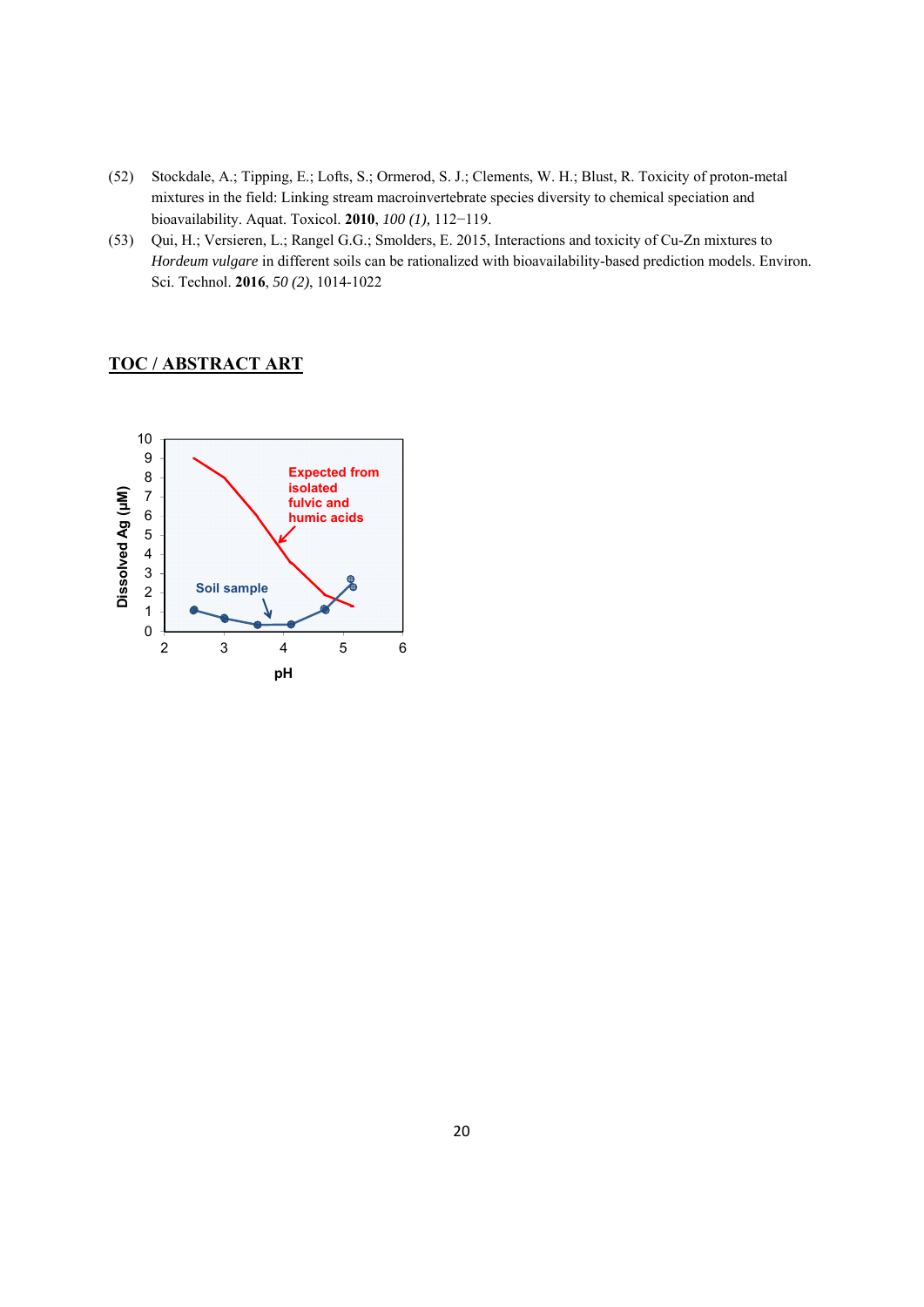- (52) Stockdale, A.; Tipping, E.; Lofts, S.; Ormerod, S. J.; Clements, W. H.; Blust, R. Toxicity of proton-metal mixtures in the field: Linking stream macroinvertebrate species diversity to chemical speciation and bioavailability. Aquat. Toxicol. **2010**, *100 (1),* 112−119.
- (53) Qui, H.; Versieren, L.; Rangel G.G.; Smolders, E. 2015, Interactions and toxicity of Cu-Zn mixtures to *Hordeum vulgare* in different soils can be rationalized with bioavailability-based prediction models. Environ. Sci. Technol. **2016**, *50 (2)*, 1014-1022

### **TOC / ABSTRACT ART**

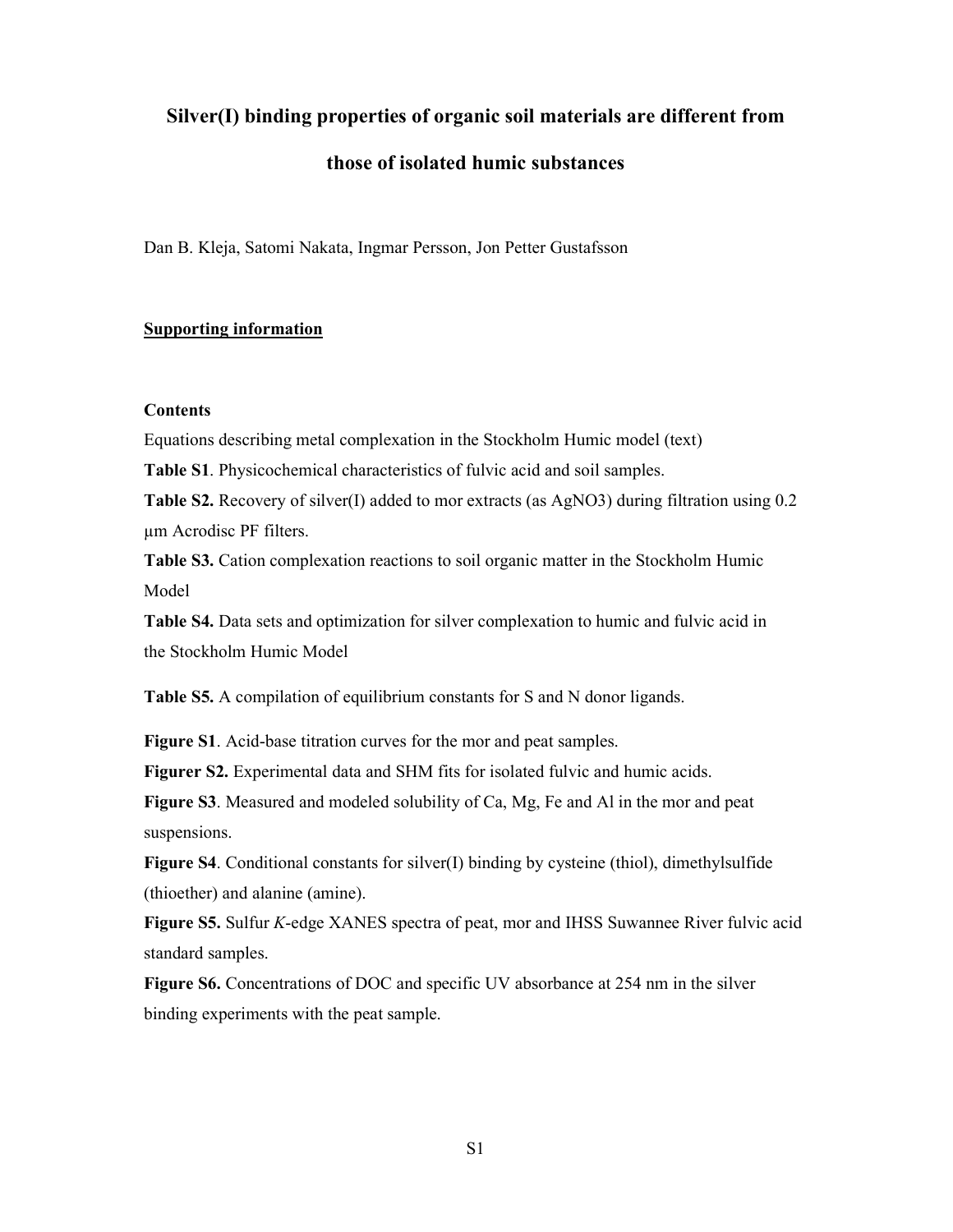### **Silver(I) binding properties of organic soil materials are different from**

### **those of isolated humic substances**

Dan B. Kleja, Satomi Nakata, Ingmar Persson, Jon Petter Gustafsson

### **Supporting information**

### **Contents**

Equations describing metal complexation in the Stockholm Humic model (text)

**Table S1**. Physicochemical characteristics of fulvic acid and soil samples.

**Table S2.** Recovery of silver(I) added to mor extracts (as AgNO3) during filtration using 0.2 µm Acrodisc PF filters.

**Table S3.** Cation complexation reactions to soil organic matter in the Stockholm Humic Model

**Table S4.** Data sets and optimization for silver complexation to humic and fulvic acid in the Stockholm Humic Model

**Table S5.** A compilation of equilibrium constants for S and N donor ligands.

**Figure S1**. Acid-base titration curves for the mor and peat samples.

**Figurer S2.** Experimental data and SHM fits for isolated fulvic and humic acids.

**Figure S3**. Measured and modeled solubility of Ca, Mg, Fe and Al in the mor and peat suspensions.

**Figure S4**. Conditional constants for silver(I) binding by cysteine (thiol), dimethylsulfide (thioether) and alanine (amine).

**Figure S5.** Sulfur *K*-edge XANES spectra of peat, mor and IHSS Suwannee River fulvic acid standard samples.

**Figure S6.** Concentrations of DOC and specific UV absorbance at 254 nm in the silver binding experiments with the peat sample.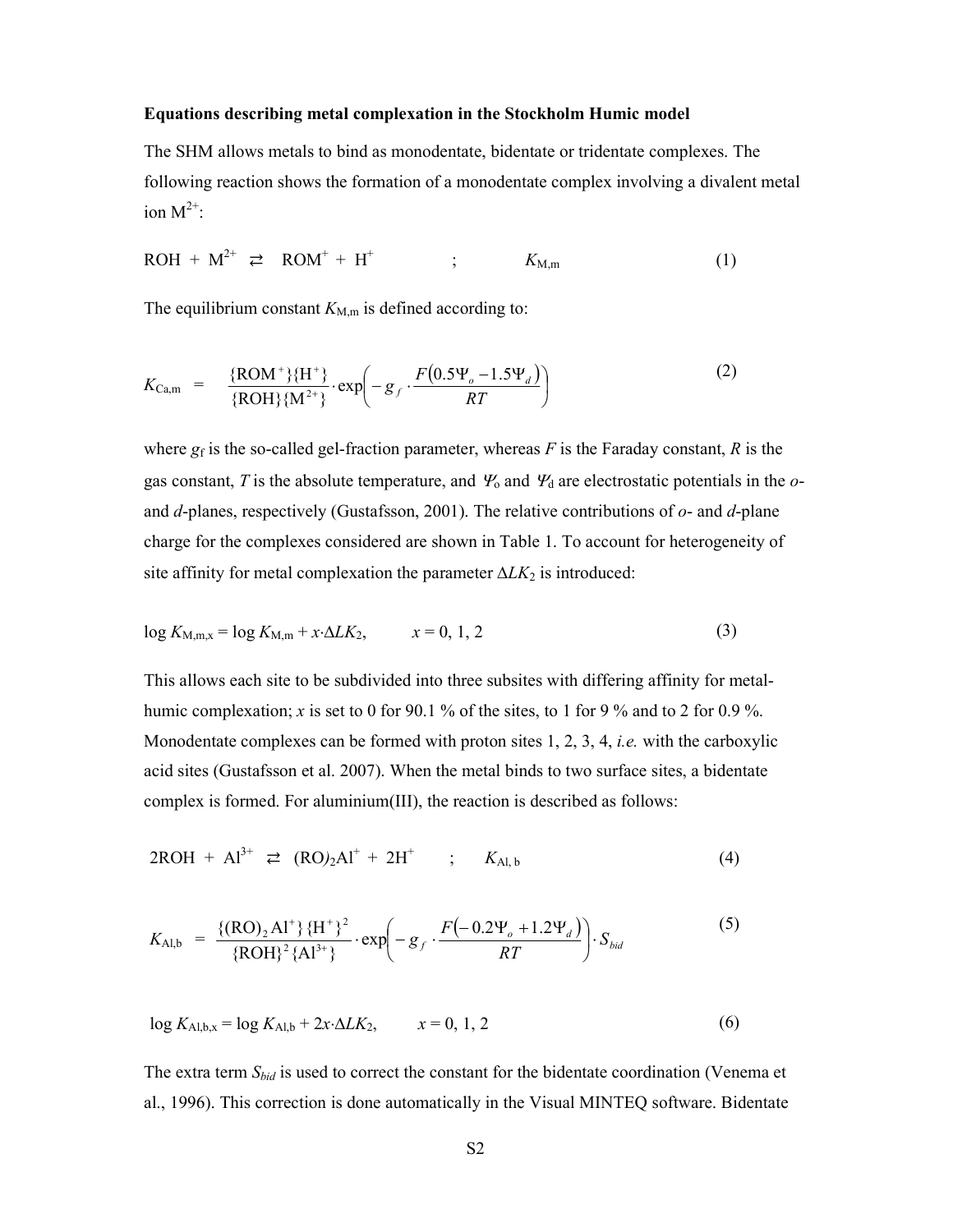#### **Equations describing metal complexation in the Stockholm Humic model**

The SHM allows metals to bind as monodentate, bidentate or tridentate complexes. The following reaction shows the formation of a monodentate complex involving a divalent metal ion  $M^{2+}$ :

$$
ROH + M^{2+} \geq ROM^+ + H^+ \qquad ; \qquad K_{M,m} \tag{1}
$$

The equilibrium constant  $K_{M,m}$  is defined according to:

$$
K_{\text{Ca,m}} = \frac{\{\text{ROM}^+\}\{\text{H}^+\}}{\{\text{ROH}\}\{\text{M}^{2+}\}} \cdot \exp\left(-g_f \cdot \frac{F(0.5\Psi_o - 1.5\Psi_d)}{RT}\right) \tag{2}
$$

where  $g_f$  is the so-called gel-fraction parameter, whereas  $F$  is the Faraday constant,  $R$  is the gas constant, *T* is the absolute temperature, and  $\mathcal{Y}_0$  and  $\mathcal{Y}_d$  are electrostatic potentials in the *o*and *d*-planes, respectively (Gustafsson, 2001). The relative contributions of *o*- and *d*-plane charge for the complexes considered are shown in Table 1. To account for heterogeneity of site affinity for metal complexation the parameter Δ*LK*<sub>2</sub> is introduced:

$$
\log K_{\text{M,m,x}} = \log K_{\text{M,m}} + x \cdot \Delta L K_2, \qquad x = 0, 1, 2 \tag{3}
$$

This allows each site to be subdivided into three subsites with differing affinity for metalhumic complexation; *x* is set to 0 for 90.1 % of the sites, to 1 for 9 % and to 2 for 0.9 %. Monodentate complexes can be formed with proton sites 1, 2, 3, 4, *i.e.* with the carboxylic acid sites (Gustafsson et al. 2007). When the metal binds to two surface sites, a bidentate complex is formed. For aluminium(III), the reaction is described as follows:

$$
2ROH + Al^{3+} \rightleftarrows (RO)_2Al^+ + 2H^+ \qquad ; \qquad K_{Al,b} \tag{4}
$$

$$
K_{\text{Al,b}} = \frac{\{(RO)_2 Al^+\} \{H^+\}^2}{\{ROH\}^2 \{Al^{3+}\}} \cdot \exp\left(-g_f \cdot \frac{F\left(-0.2\Psi_o + 1.2\Psi_d\right)}{RT}\right) \cdot S_{bid}
$$
 (5)

$$
\log K_{\text{Al},b,x} = \log K_{\text{Al},b} + 2x \cdot \Delta L K_2, \qquad x = 0, 1, 2 \tag{6}
$$

The extra term *Sbid* is used to correct the constant for the bidentate coordination (Venema et al., 1996). This correction is done automatically in the Visual MINTEQ software. Bidentate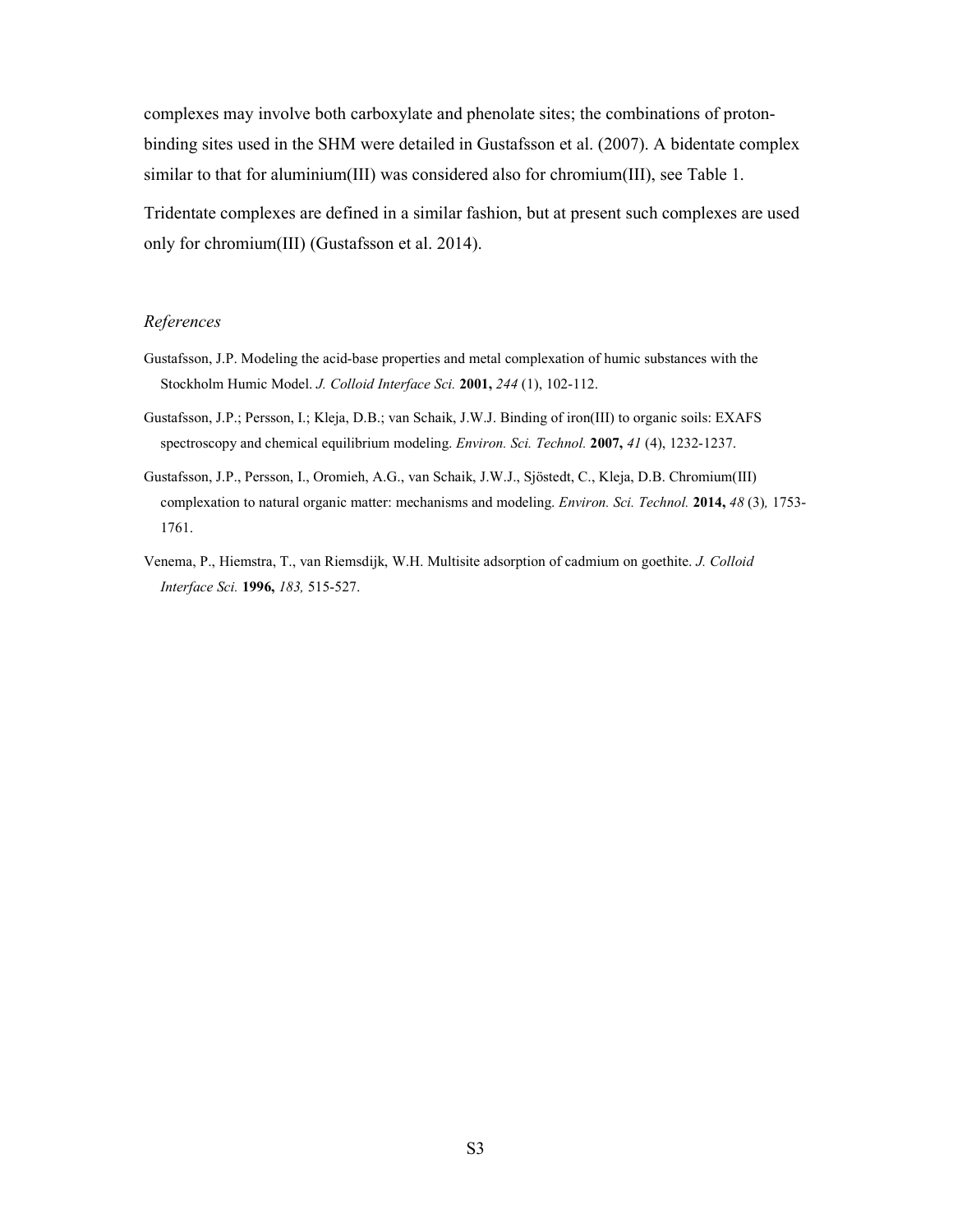complexes may involve both carboxylate and phenolate sites; the combinations of protonbinding sites used in the SHM were detailed in Gustafsson et al. (2007). A bidentate complex similar to that for aluminium(III) was considered also for chromium(III), see Table 1.

Tridentate complexes are defined in a similar fashion, but at present such complexes are used only for chromium(III) (Gustafsson et al. 2014).

#### *References*

- Gustafsson, J.P. Modeling the acid-base properties and metal complexation of humic substances with the Stockholm Humic Model. *J. Colloid Interface Sci.* **2001,** *244* (1), 102-112.
- Gustafsson, J.P.; Persson, I.; Kleja, D.B.; van Schaik, J.W.J. Binding of iron(III) to organic soils: EXAFS spectroscopy and chemical equilibrium modeling. *Environ. Sci. Technol.* **2007,** *41* (4), 1232-1237.
- Gustafsson, J.P., Persson, I., Oromieh, A.G., van Schaik, J.W.J., Sjöstedt, C., Kleja, D.B. Chromium(III) complexation to natural organic matter: mechanisms and modeling. *Environ. Sci. Technol.* **2014,** *48* (3)*,* 1753- 1761.
- Venema, P., Hiemstra, T., van Riemsdijk, W.H. Multisite adsorption of cadmium on goethite. *J. Colloid Interface Sci.* **1996,** *183,* 515-527.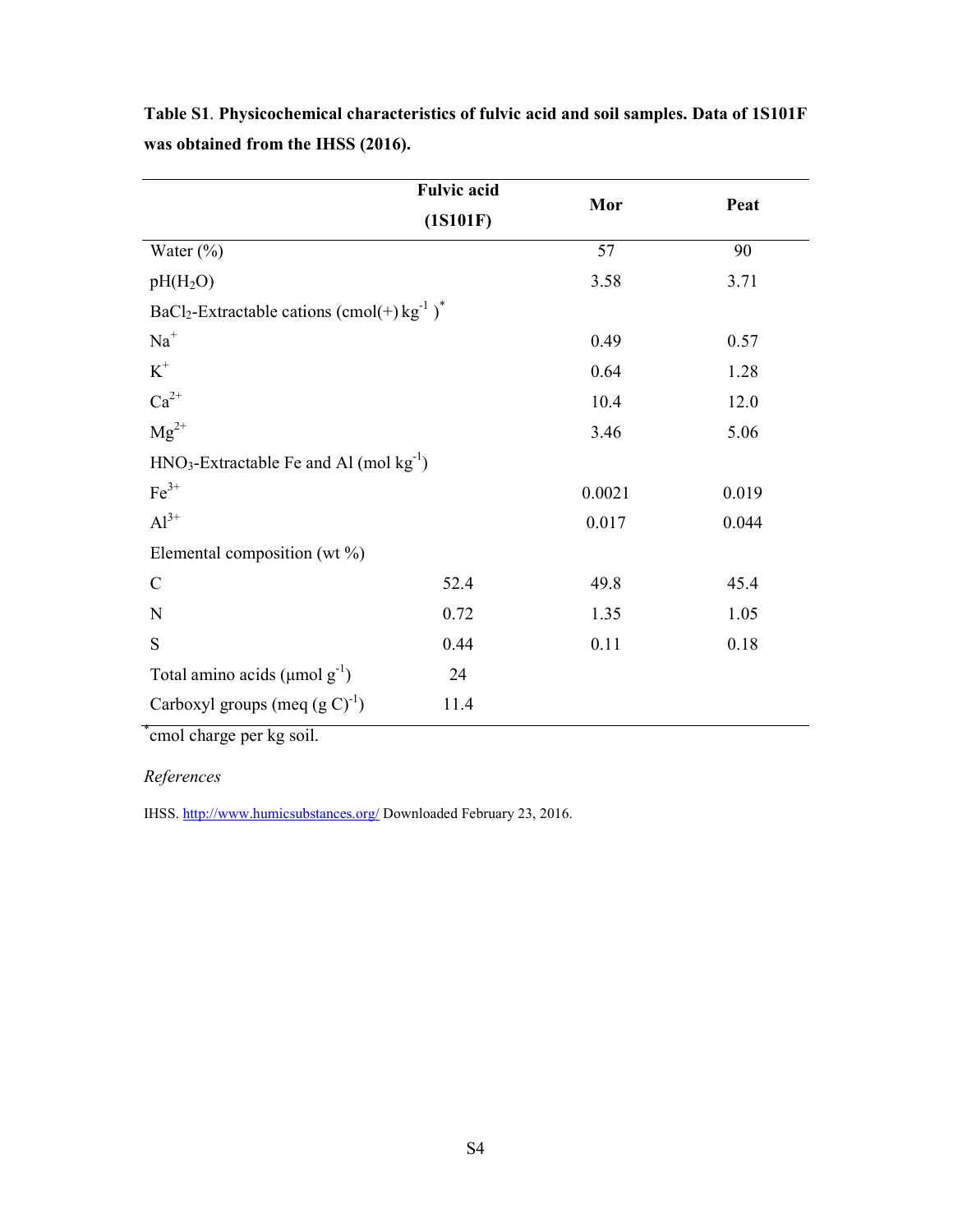|                                                                          | <b>Fulvic acid</b> | Mor    | Peat  |
|--------------------------------------------------------------------------|--------------------|--------|-------|
|                                                                          | (1S101F)           |        |       |
| Water $(\% )$                                                            |                    | 57     | 90    |
| $pH(H_2O)$                                                               |                    | 3.58   | 3.71  |
| BaCl <sub>2</sub> -Extractable cations (cmol(+) $kg^{-1}$ ) <sup>*</sup> |                    |        |       |
| $Na+$                                                                    |                    | 0.49   | 0.57  |
| $\mbox{K}^+$                                                             |                    | 0.64   | 1.28  |
| $Ca^{2+}$                                                                |                    | 10.4   | 12.0  |
| $Mg^{2+}$                                                                |                    | 3.46   | 5.06  |
| $HNO3$ -Extractable Fe and Al (mol kg <sup>-1</sup> )                    |                    |        |       |
| $Fe3+$                                                                   |                    | 0.0021 | 0.019 |
| $Al^{3+}$                                                                |                    | 0.017  | 0.044 |
| Elemental composition (wt $\%$ )                                         |                    |        |       |
| $\mathbf C$                                                              | 52.4               | 49.8   | 45.4  |
| ${\bf N}$                                                                | 0.72               | 1.35   | 1.05  |
| S                                                                        | 0.44               | 0.11   | 0.18  |
| Total amino acids ( $\mu$ mol $g^{-1}$ )                                 | 24                 |        |       |
| Carboxyl groups (meq $(g C)^{-1}$ )                                      | 11.4               |        |       |

**Table S1**. **Physicochemical characteristics of fulvic acid and soil samples. Data of 1S101F was obtained from the IHSS (2016).**

\* cmol charge per kg soil.

### *References*

IHSS. http://www.humicsubstances.org/ Downloaded February 23, 2016.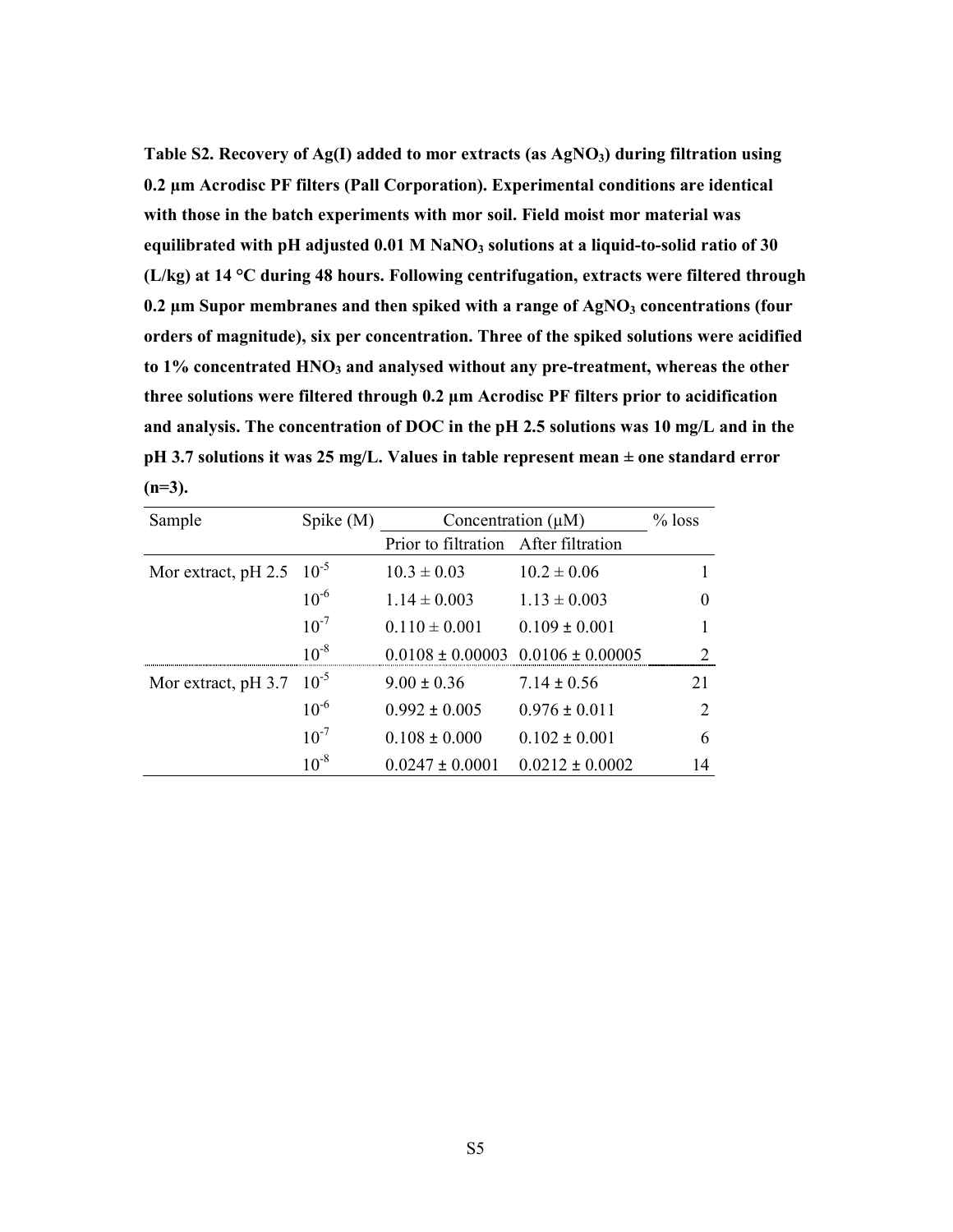**Table S2. Recovery of Ag(I) added to mor extracts (as AgNO3) during filtration using 0.2 µm Acrodisc PF filters (Pall Corporation). Experimental conditions are identical with those in the batch experiments with mor soil. Field moist mor material was equilibrated with pH adjusted 0.01 M NaNO3 solutions at a liquid-to-solid ratio of 30 (L/kg) at 14 °C during 48 hours. Following centrifugation, extracts were filtered through 0.2 µm Supor membranes and then spiked with a range of AgNO3 concentrations (four orders of magnitude), six per concentration. Three of the spiked solutions were acidified to 1% concentrated HNO3 and analysed without any pre-treatment, whereas the other three solutions were filtered through 0.2 µm Acrodisc PF filters prior to acidification and analysis. The concentration of DOC in the pH 2.5 solutions was 10 mg/L and in the pH 3.7 solutions it was 25 mg/L. Values in table represent mean ± one standard error (n=3).**

| Sample                        | Spike $(M)$ | Concentration $(\mu M)$              |                                           | $%$ loss      |
|-------------------------------|-------------|--------------------------------------|-------------------------------------------|---------------|
|                               |             | Prior to filtration After filtration |                                           |               |
| Mor extract, pH 2.5 $10^{-5}$ |             | $10.3 \pm 0.03$                      | $10.2 \pm 0.06$                           |               |
|                               | $10^{-6}$   | $1.14 \pm 0.003$                     | $1.13 \pm 0.003$                          | $\theta$      |
|                               | $10^{-7}$   | $0.110 \pm 0.001$                    | $0.109 \pm 0.001$                         |               |
|                               | $10^{-8}$   |                                      | $0.0108 \pm 0.00003$ $0.0106 \pm 0.00005$ |               |
| Mor extract, pH 3.7           | $10^{-5}$   | $9.00 \pm 0.36$                      | $7.14 \pm 0.56$                           | 21            |
|                               | $10^{-6}$   | $0.992 \pm 0.005$                    | $0.976 \pm 0.011$                         | $\mathcal{D}$ |
|                               | $10^{-7}$   | $0.108 \pm 0.000$                    | $0.102 \pm 0.001$                         | 6             |
|                               | $10^{-8}$   | $0.0247 \pm 0.0001$                  | $0.0212 \pm 0.0002$                       | 14            |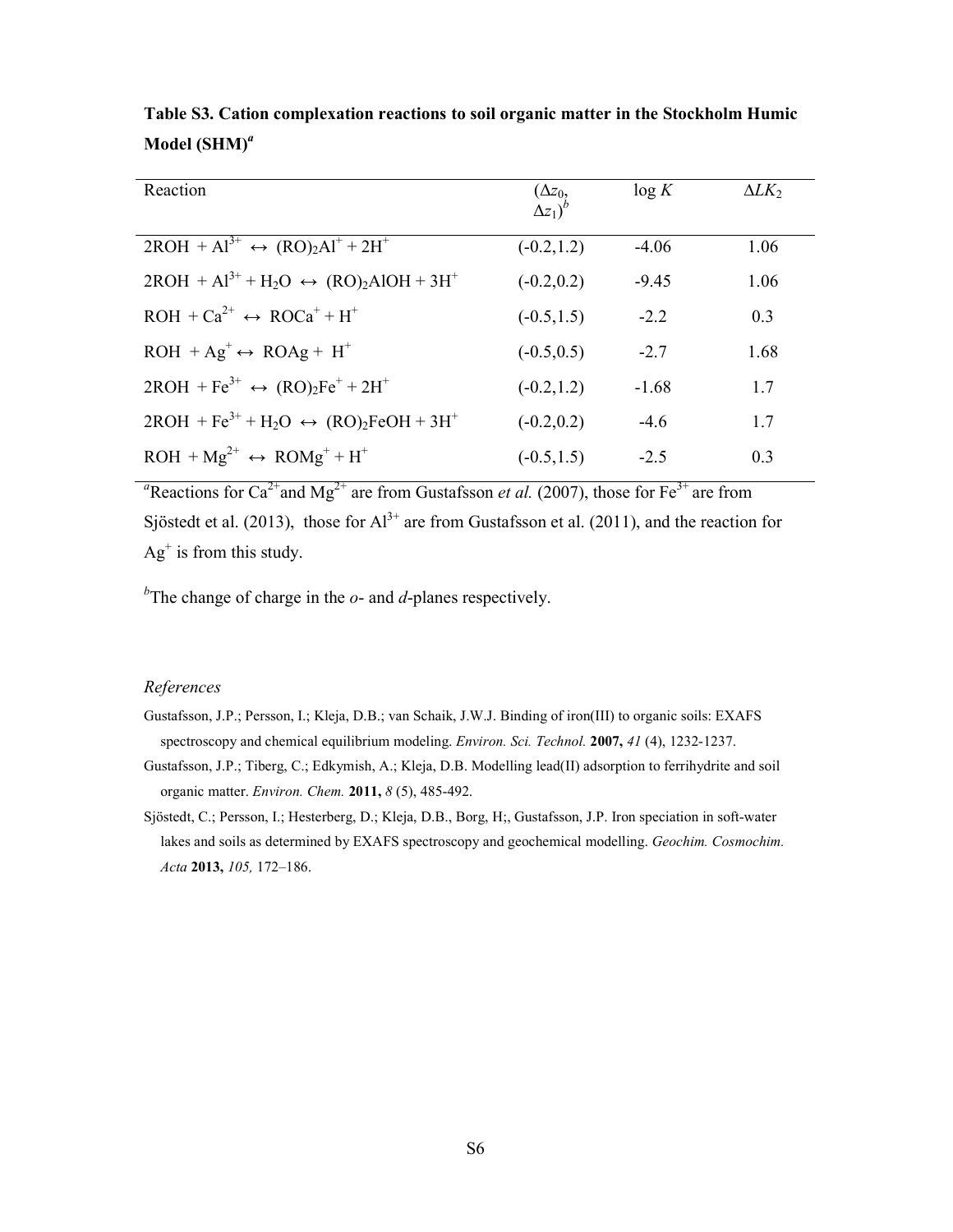| Reaction                                                  | $\frac{(\Delta z_0)}{\Delta z_1}$ | $\log K$ | $\Delta L K_2$ |
|-----------------------------------------------------------|-----------------------------------|----------|----------------|
| $2ROH + Al^{3+} \leftrightarrow (RO)2Al^{+} + 2H^{+}$     | $(-0.2, 1.2)$                     | $-4.06$  | 1.06           |
| $2ROH + Al^{3+} + H_2O \leftrightarrow (RO)_2AIOH + 3H^+$ | $(-0.2, 0.2)$                     | $-9.45$  | 1.06           |
| $ROH + Ca^{2+} \leftrightarrow ROC^{+} + H^{+}$           | $(-0.5, 1.5)$                     | $-2.2$   | 0.3            |
| $ROH + Ag^+ \leftrightarrow ROAg + H^+$                   | $(-0.5, 0.5)$                     | $-2.7$   | 1.68           |
| $2ROH + Fe^{3+} \leftrightarrow (RO)_2Fe^+ + 2H^+$        | $(-0.2, 1.2)$                     | $-1.68$  | 1.7            |
| $2ROH + Fe^{3+} + H_2O \leftrightarrow (RO)_2FeOH + 3H^+$ | $(-0.2, 0.2)$                     | $-4.6$   | 1.7            |
| $ROH + Mg^{2+} \leftrightarrow ROMg^{+} + H^{+}$          | $(-0.5, 1.5)$                     | $-2.5$   | 0.3            |

**Table S3. Cation complexation reactions to soil organic matter in the Stockholm Humic Model (SHM)***<sup>a</sup>*

<sup>*a*</sup>Reactions for Ca<sup>2+</sup>and Mg<sup>2+</sup> are from Gustafsson *et al.* (2007), those for Fe<sup>3+</sup> are from Sjöstedt et al. (2013), those for  $Al^{3+}$  are from Gustafsson et al. (2011), and the reaction for  $Ag<sup>+</sup>$  is from this study.

*b* The change of charge in the *o*- and *d*-planes respectively.

### *References*

- Gustafsson, J.P.; Persson, I.; Kleja, D.B.; van Schaik, J.W.J. Binding of iron(III) to organic soils: EXAFS spectroscopy and chemical equilibrium modeling. *Environ. Sci. Technol.* **2007,** *41* (4), 1232-1237.
- Gustafsson, J.P.; Tiberg, C.; Edkymish, A.; Kleja, D.B. Modelling lead(II) adsorption to ferrihydrite and soil organic matter. *Environ. Chem.* **2011,** *8* (5), 485-492.
- Sjöstedt, C.; Persson, I.; Hesterberg, D.; Kleja, D.B., Borg, H;, Gustafsson, J.P. Iron speciation in soft-water lakes and soils as determined by EXAFS spectroscopy and geochemical modelling. *Geochim. Cosmochim. Acta* **2013,** *105,* 172–186.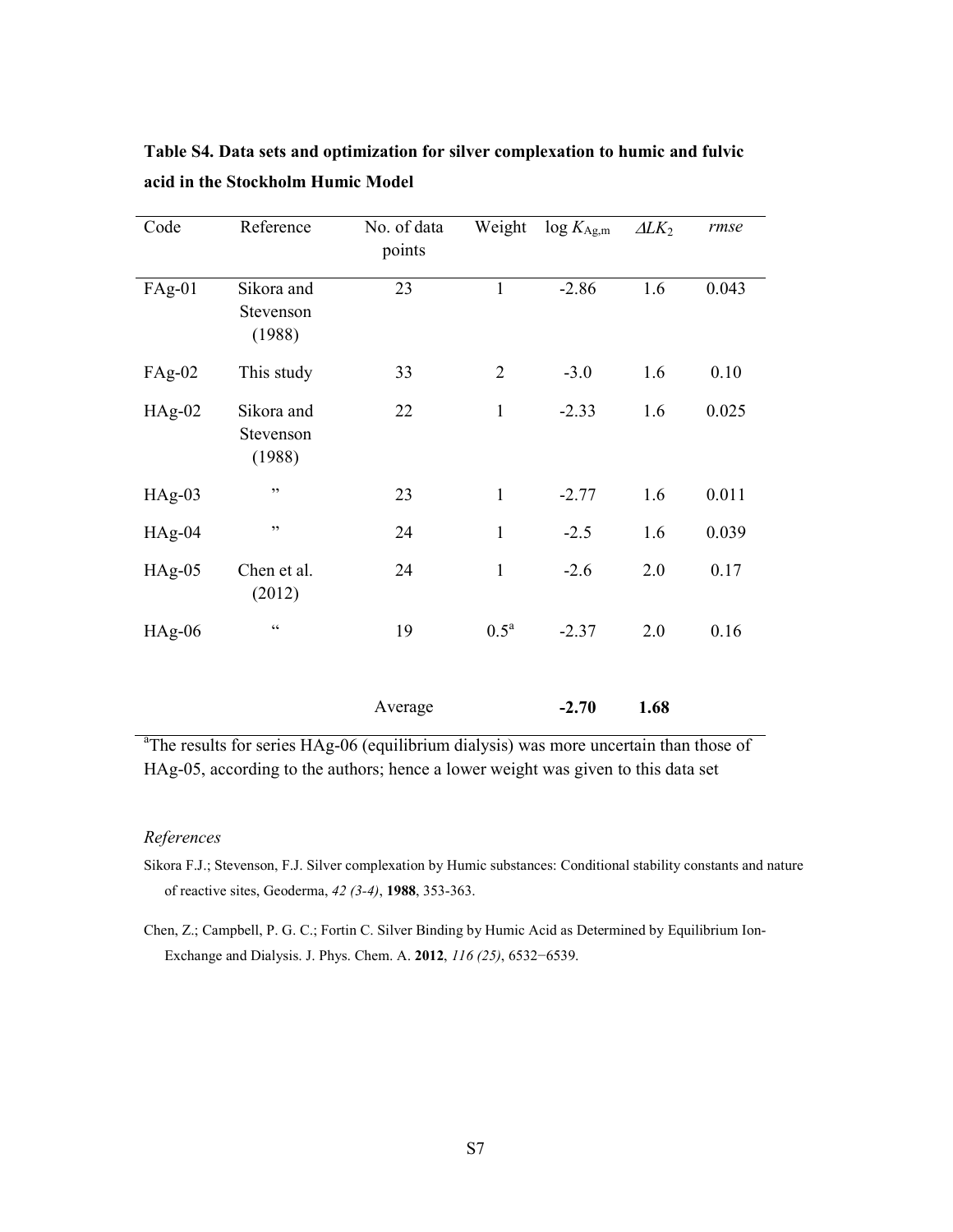| Code     | Reference                         | No. of data<br>points | Weight           | $\log K_{\text{Ag,m}}$ | $\Delta L K_2$ | rmse  |
|----------|-----------------------------------|-----------------------|------------------|------------------------|----------------|-------|
| $FAg-01$ | Sikora and<br>Stevenson<br>(1988) | 23                    | $\mathbf{1}$     | $-2.86$                | 1.6            | 0.043 |
| $FAg-02$ | This study                        | 33                    | $\overline{2}$   | $-3.0$                 | 1.6            | 0.10  |
| $HAg-02$ | Sikora and<br>Stevenson<br>(1988) | 22                    | $\mathbf{1}$     | $-2.33$                | 1.6            | 0.025 |
| $HAg-03$ | , ,                               | 23                    | $\mathbf{1}$     | $-2.77$                | 1.6            | 0.011 |
| $HAg-04$ | , ,                               | 24                    | $\mathbf{1}$     | $-2.5$                 | 1.6            | 0.039 |
| $HAg-05$ | Chen et al.<br>(2012)             | 24                    | $\mathbf{1}$     | $-2.6$                 | 2.0            | 0.17  |
| $HAg-06$ | $\zeta\,\zeta$                    | 19                    | $0.5^{\text{a}}$ | $-2.37$                | 2.0            | 0.16  |
|          |                                   | Average               |                  | $-2.70$                | 1.68           |       |

**Table S4. Data sets and optimization for silver complexation to humic and fulvic acid in the Stockholm Humic Model** 

<sup>a</sup>The results for series HAg-06 (equilibrium dialysis) was more uncertain than those of HAg-05, according to the authors; hence a lower weight was given to this data set

#### *References*

- Sikora F.J.; Stevenson, F.J. Silver complexation by Humic substances: Conditional stability constants and nature of reactive sites, Geoderma, *42 (3-4)*, **1988**, 353-363.
- Chen, Z.; Campbell, P. G. C.; Fortin C. Silver Binding by Humic Acid as Determined by Equilibrium Ion-Exchange and Dialysis. J. Phys. Chem. A. **2012**, *116 (25)*, 6532−6539.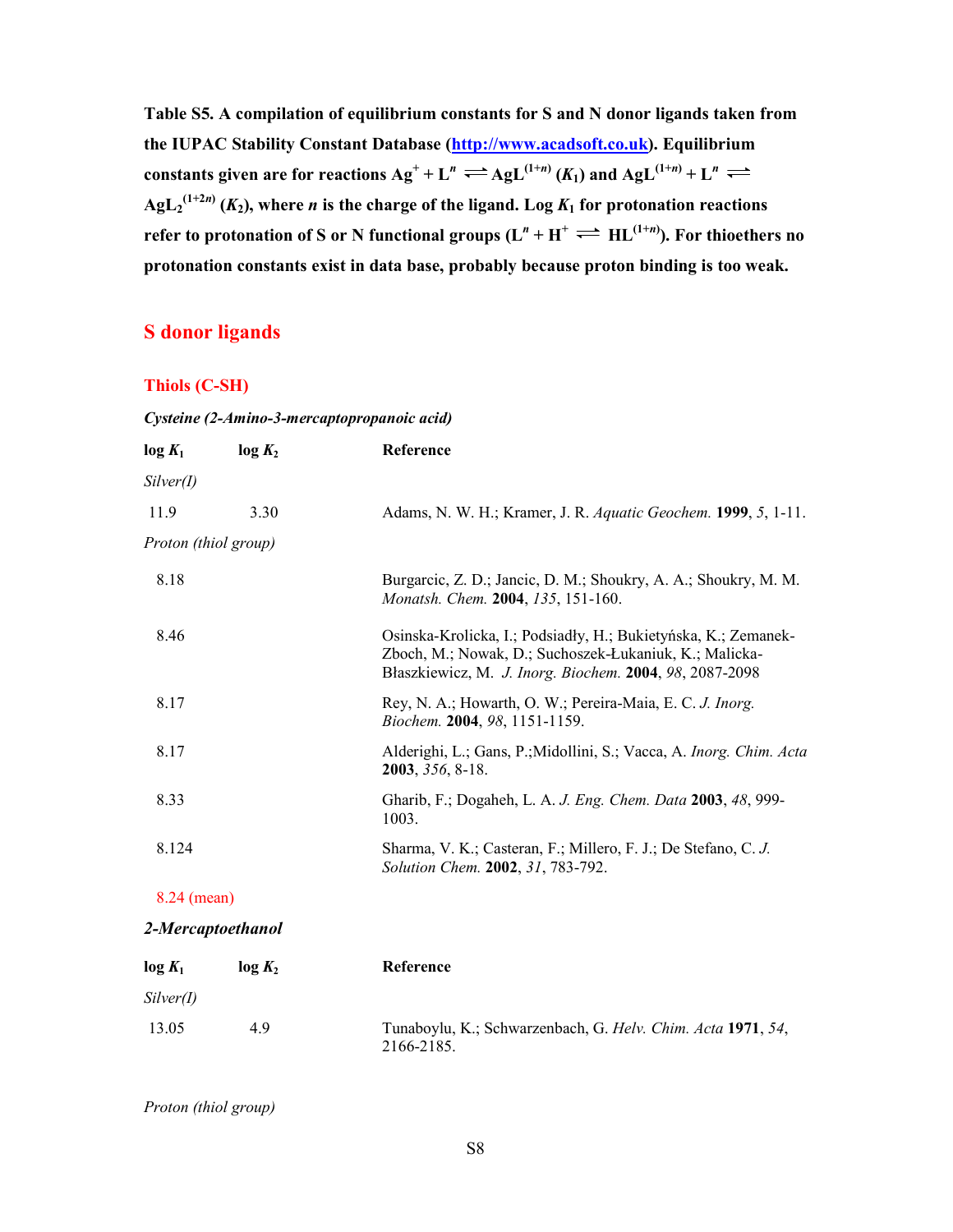**Table S5. A compilation of equilibrium constants for S and N donor ligands taken from the IUPAC Stability Constant Database (http://www.acadsoft.co.uk). Equilibrium constants given are for reactions**  $Ag^+ + L^n \rightleftharpoons AgL^{(1+n)}(K_1)$  **and**  $AgL^{(1+n)} + L^n$  $\mathrm{AgL}_{2}^{(1+2n)}$  ( $K_{2}$ ), where *n* is the charge of the ligand. Log  $K_{1}$  for protonation reactions **refer to protonation of S or N functional groups (** $L^n + H^+ \rightleftharpoons H L^{(1+n)}$ **). For thioethers no protonation constants exist in data base, probably because proton binding is too weak.** 

### **S donor ligands**

### **Thiols (C-SH)**

#### *Cysteine (2-Amino-3-mercaptopropanoic acid)*

| $log K_2$            | Reference                                                                                                                                                                           |
|----------------------|-------------------------------------------------------------------------------------------------------------------------------------------------------------------------------------|
|                      |                                                                                                                                                                                     |
| 3.30                 | Adams, N. W. H.; Kramer, J. R. Aquatic Geochem. 1999, 5, 1-11.                                                                                                                      |
| Proton (thiol group) |                                                                                                                                                                                     |
|                      | Burgarcic, Z. D.; Jancic, D. M.; Shoukry, A. A.; Shoukry, M. M.<br>Monatsh. Chem. 2004, 135, 151-160.                                                                               |
|                      | Osinska-Krolicka, I.; Podsiadły, H.; Bukietyńska, K.; Zemanek-<br>Zboch, M.; Nowak, D.; Suchoszek-Łukaniuk, K.; Malicka-<br>Błaszkiewicz, M. J. Inorg. Biochem. 2004, 98, 2087-2098 |
|                      | Rey, N. A.; Howarth, O. W.; Pereira-Maia, E. C. J. Inorg.<br>Biochem. 2004, 98, 1151-1159.                                                                                          |
|                      | Alderighi, L.; Gans, P.; Midollini, S.; Vacca, A. <i>Inorg. Chim. Acta</i><br>2003, 356, 8-18.                                                                                      |
|                      | Gharib, F.; Dogaheh, L. A. J. Eng. Chem. Data 2003, 48, 999-<br>1003.                                                                                                               |
|                      | Sharma, V. K.; Casteran, F.; Millero, F. J.; De Stefano, C. J.<br>Solution Chem. 2002, 31, 783-792.                                                                                 |
|                      |                                                                                                                                                                                     |

### 8.24 (mean)

### *2-Mercaptoethanol*

| $log K_1$ | log K <sub>2</sub> | Reference                                                                 |
|-----------|--------------------|---------------------------------------------------------------------------|
| Silver(I) |                    |                                                                           |
| 13.05     | 49                 | Tunaboylu, K.; Schwarzenbach, G. Helv. Chim. Acta 1971, 54,<br>2166-2185. |

### *Proton (thiol group)*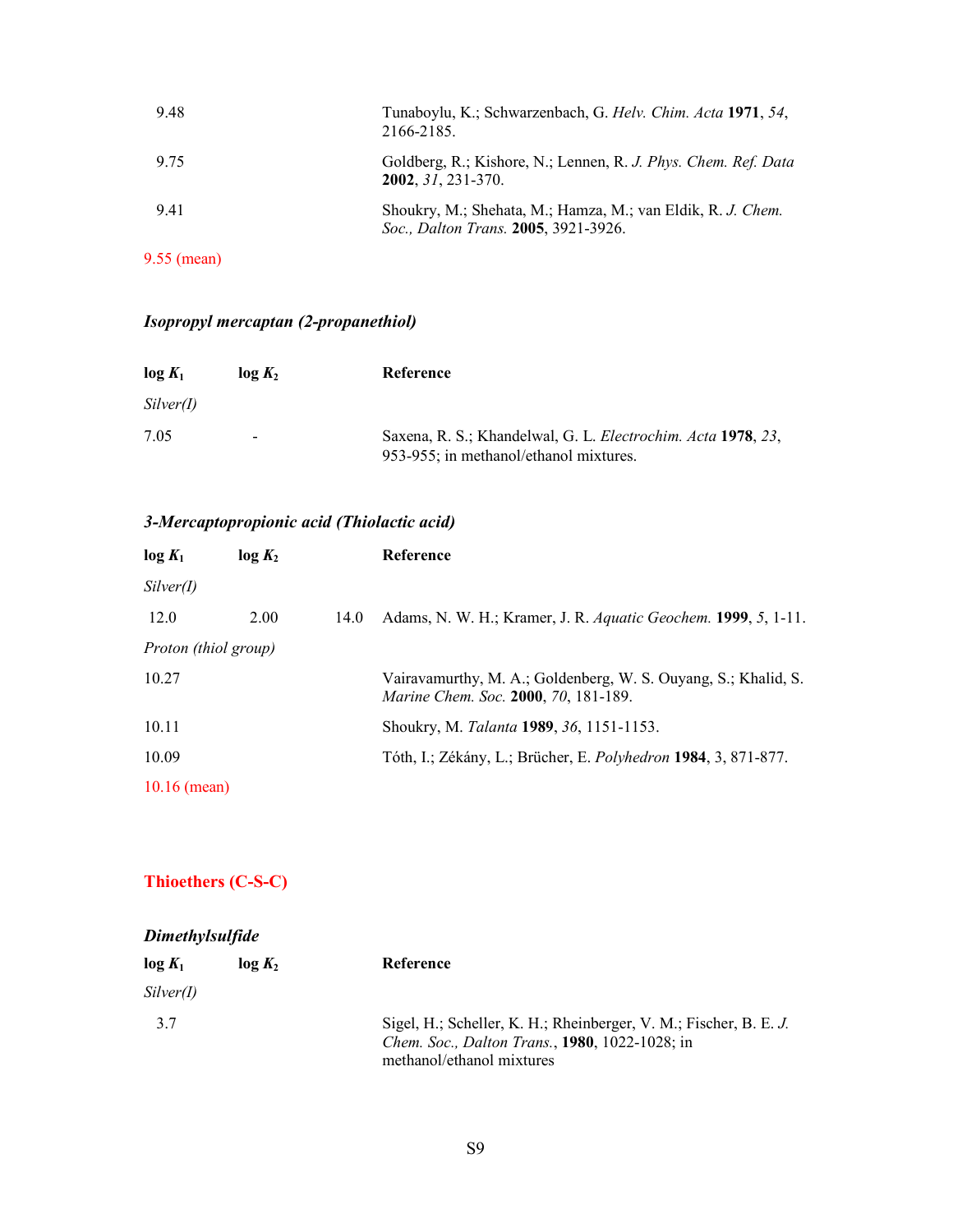| 9.48          | Tunaboylu, K.; Schwarzenbach, G. Helv. Chim. Acta 1971, 54,<br>2166-2185.                           |
|---------------|-----------------------------------------------------------------------------------------------------|
| 9.75          | Goldberg, R.; Kishore, N.; Lennen, R. J. Phys. Chem. Ref. Data<br>$2002, 31, 231 - 370.$            |
| 9.41          | Shoukry, M.; Shehata, M.; Hamza, M.; van Eldik, R. J. Chem.<br>Soc., Dalton Trans. 2005, 3921-3926. |
| $9.55$ (mean) |                                                                                                     |

### *Isopropyl mercaptan (2-propanethiol)*

| $log K_1$ | log K <sub>2</sub> | Reference                                                                                              |
|-----------|--------------------|--------------------------------------------------------------------------------------------------------|
| Silver(I) |                    |                                                                                                        |
| 7.05      | -                  | Saxena, R. S.; Khandelwal, G. L. Electrochim. Acta 1978, 23,<br>953-955; in methanol/ethanol mixtures. |

### *3-Mercaptopropionic acid (Thiolactic acid)*

| $log K_1$            | log K <sub>2</sub> |      | Reference                                                                                                     |
|----------------------|--------------------|------|---------------------------------------------------------------------------------------------------------------|
| Silver(I)            |                    |      |                                                                                                               |
| 12.0                 | 2.00               | 14.0 | Adams, N. W. H.; Kramer, J. R. Aquatic Geochem. 1999, 5, 1-11.                                                |
| Proton (thiol group) |                    |      |                                                                                                               |
| 10.27                |                    |      | Vairavamurthy, M. A.; Goldenberg, W. S. Ouyang, S.; Khalid, S.<br><i>Marine Chem. Soc.</i> 2000, 70, 181-189. |
| 10.11                |                    |      | Shoukry, M. Talanta 1989, 36, 1151-1153.                                                                      |
| 10.09                |                    |      | Tóth, I.; Zékány, L.; Brücher, E. Polyhedron 1984, 3, 871-877.                                                |
| $10.16$ (mean)       |                    |      |                                                                                                               |

### **Thioethers (C-S-C)**

### *Dimethylsulfide*

| $log K_1$ | log K <sub>2</sub> | Reference                                                                                                                                               |
|-----------|--------------------|---------------------------------------------------------------------------------------------------------------------------------------------------------|
| Silver(I) |                    |                                                                                                                                                         |
| 37        |                    | Sigel, H.; Scheller, K. H.; Rheinberger, V. M.; Fischer, B. E. J.<br><i>Chem. Soc., Dalton Trans., 1980, 1022-1028; in</i><br>methanol/ethanol mixtures |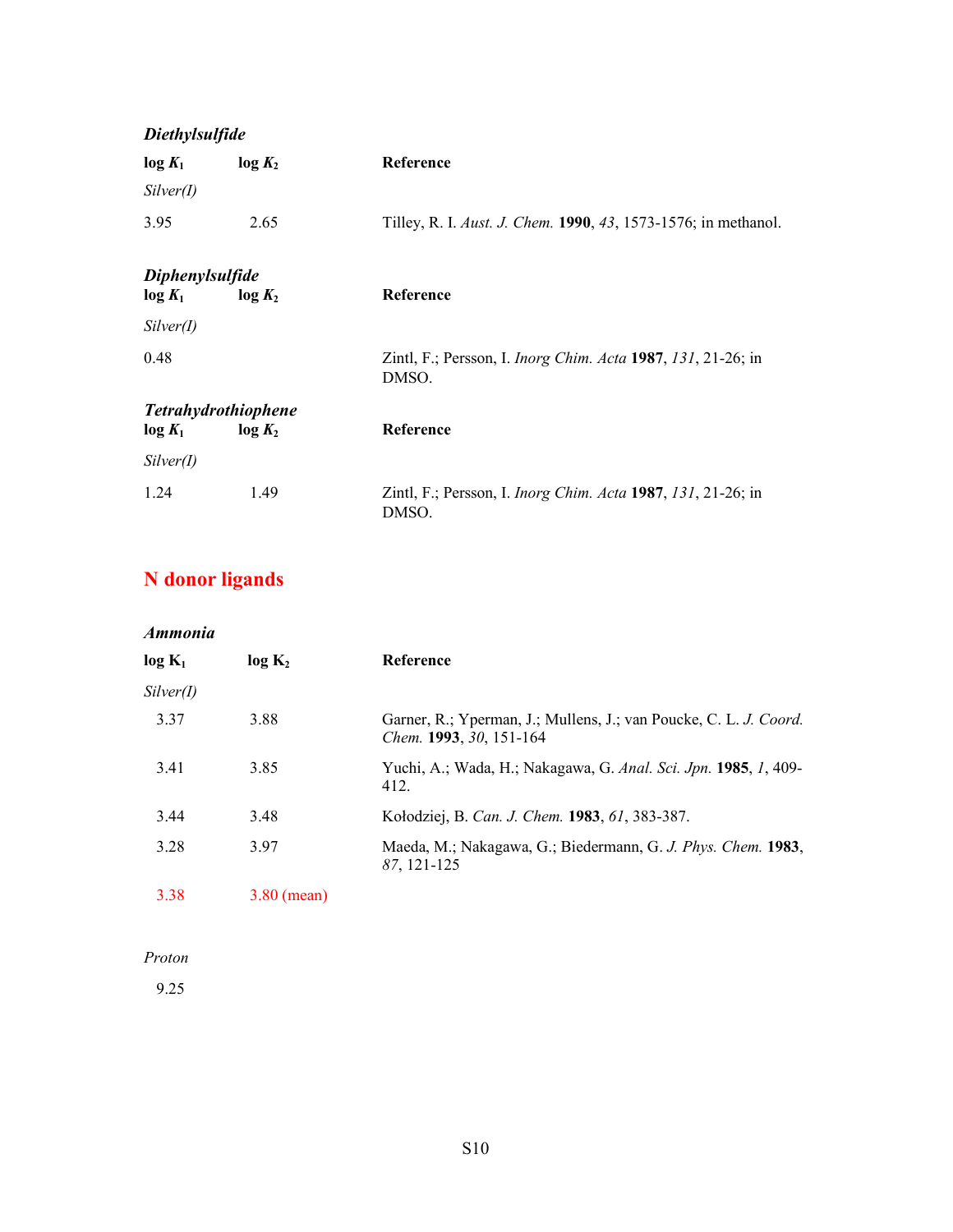# *Diethylsulfide*   $\log K_1$   $\log K_2$  Reference *Silver(I)*  3.95 2.65 Tilley, R. I. *Aust. J. Chem.* **1990**, *43*, 1573-1576; in methanol. *Diphenylsulfide*  **log** *K***1 log** *K***2 Reference**  *Silver(I)*  0.48 Zintl, F.; Persson, I. *Inorg Chim. Acta* **1987**, *131*, 21-26; in DMSO. *Tetrahydrothiophene*  **log** *K***1 log** *K***2 Reference**  *Silver(I)*  1.24 1.49 Zintl, F.; Persson, I. *Inorg Chim. Acta* **1987**, *131*, 21-26; in DMSO.

# **N donor ligands**

| Ammonia   |                    |                                                                                              |  |  |
|-----------|--------------------|----------------------------------------------------------------------------------------------|--|--|
| $log K_1$ | log K <sub>2</sub> | Reference                                                                                    |  |  |
| Silver(I) |                    |                                                                                              |  |  |
| 3.37      | 3.88               | Garner, R.; Yperman, J.; Mullens, J.; van Poucke, C. L. J. Coord.<br>Chem. 1993, 30, 151-164 |  |  |
| 3.41      | 3.85               | Yuchi, A.; Wada, H.; Nakagawa, G. Anal. Sci. Jpn. 1985, 1, 409-<br>412.                      |  |  |
| 3.44      | 3.48               | Kołodziej, B. Can. J. Chem. 1983, 61, 383-387.                                               |  |  |
| 3.28      | 3.97               | Maeda, M.; Nakagawa, G.; Biedermann, G. J. Phys. Chem. 1983,<br>87, 121-125                  |  |  |
| 3.38      | $3.80$ (mean)      |                                                                                              |  |  |

### *Proton*

9.25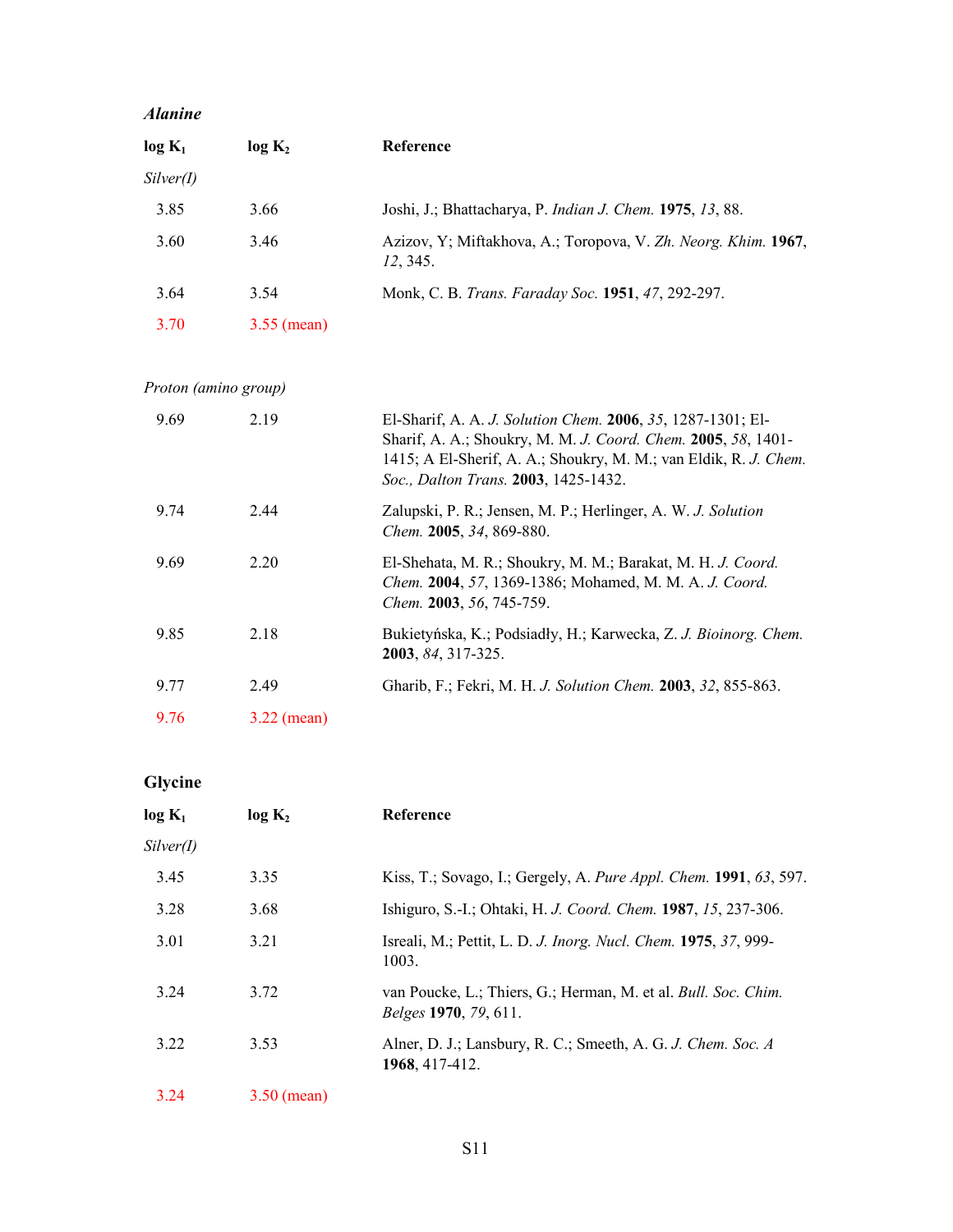### *Alanine*

| $log K_1$ | log K <sub>2</sub> | Reference                                                                 |
|-----------|--------------------|---------------------------------------------------------------------------|
| Silver(I) |                    |                                                                           |
| 3.85      | 3.66               | Joshi, J.; Bhattacharya, P. <i>Indian J. Chem.</i> <b>1975</b> , 13, 88.  |
| 3.60      | 3.46               | Azizov, Y; Miftakhova, A.; Toropova, V. Zh. Neorg. Khim. 1967,<br>12.345. |
| 3.64      | 3.54               | Monk, C. B. Trans. Faraday Soc. 1951, 47, 292-297.                        |
| 3.70      | $3.55$ (mean)      |                                                                           |

*Proton (amino group)* 

| 9.69 | 2.19          | El-Sharif, A. A. J. Solution Chem. 2006, 35, 1287-1301; El-<br>Sharif, A. A.; Shoukry, M. M. J. Coord. Chem. 2005, 58, 1401-<br>1415; A El-Sherif, A. A.; Shoukry, M. M.; van Eldik, R. J. Chem.<br>Soc., Dalton Trans. 2003, 1425-1432. |
|------|---------------|------------------------------------------------------------------------------------------------------------------------------------------------------------------------------------------------------------------------------------------|
| 9.74 | 2.44          | Zalupski, P. R.; Jensen, M. P.; Herlinger, A. W. J. Solution<br>Chem. 2005, 34, 869-880.                                                                                                                                                 |
| 9.69 | 2.20          | El-Shehata, M. R.; Shoukry, M. M.; Barakat, M. H. J. Coord.<br>Chem. 2004, 57, 1369-1386; Mohamed, M. M. A. J. Coord.<br><i>Chem.</i> <b>2003</b> , 56, 745-759.                                                                         |
| 9.85 | 2.18          | Bukietyńska, K.; Podsiadły, H.; Karwecka, Z. J. Bioinorg. Chem.<br>2003, 84, 317-325.                                                                                                                                                    |
| 9.77 | 2.49          | Gharib, F.; Fekri, M. H. J. Solution Chem. 2003, 32, 855-863.                                                                                                                                                                            |
| 9.76 | $3.22$ (mean) |                                                                                                                                                                                                                                          |

# **Glycine**

| $log K_1$ | log K <sub>2</sub> | Reference                                                                                             |
|-----------|--------------------|-------------------------------------------------------------------------------------------------------|
| Silver(I) |                    |                                                                                                       |
| 3.45      | 3.35               | Kiss, T.; Sovago, I.; Gergely, A. Pure Appl. Chem. 1991, 63, 597.                                     |
| 3.28      | 3.68               | Ishiguro, S.-I.; Ohtaki, H. J. Coord. Chem. 1987, 15, 237-306.                                        |
| 3.01      | 3.21               | Isreali, M.; Pettit, L. D. J. Inorg. Nucl. Chem. 1975, 37, 999-<br>1003.                              |
| 3.24      | 3.72               | van Poucke, L.; Thiers, G.; Herman, M. et al. <i>Bull. Soc. Chim.</i><br><i>Belges</i> 1970, 79, 611. |
| 3.22      | 3.53               | Alner, D. J.; Lansbury, R. C.; Smeeth, A. G. J. Chem. Soc. A<br>1968, 417-412.                        |
| 3.24      | $3.50$ (mean)      |                                                                                                       |
|           |                    |                                                                                                       |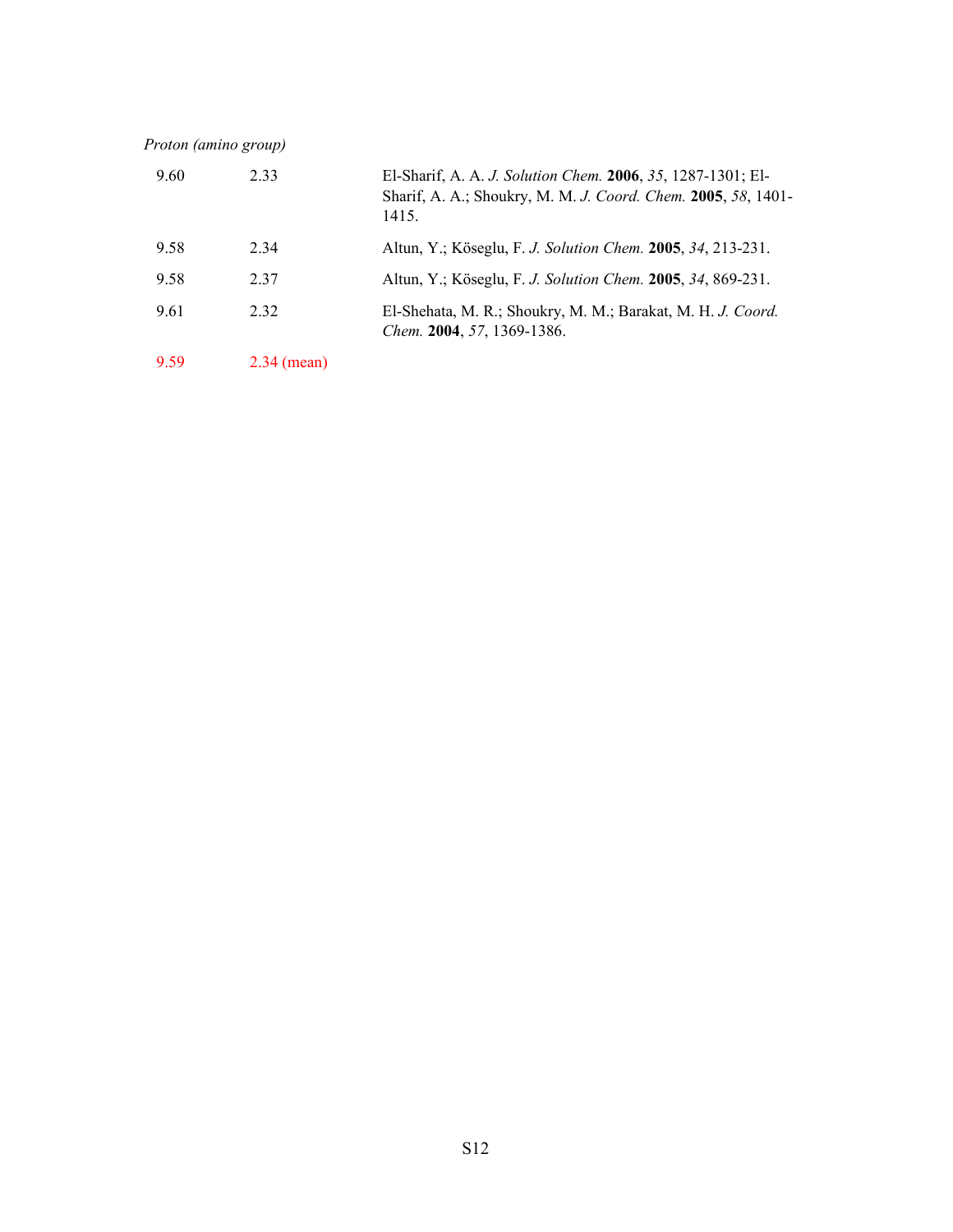*Proton (amino group)* 

| 9.60 | 2.33          | El-Sharif, A. A. J. Solution Chem. 2006, 35, 1287-1301; El-<br>Sharif, A. A.; Shoukry, M. M. J. Coord. Chem. 2005, 58, 1401-<br>1415. |
|------|---------------|---------------------------------------------------------------------------------------------------------------------------------------|
| 9.58 | 2 3 4         | Altun, Y.; Köseglu, F. J. Solution Chem. 2005, 34, 213-231.                                                                           |
| 9.58 | 2 3 7         | Altun, Y.; Köseglu, F. J. Solution Chem. 2005, 34, 869-231.                                                                           |
| 9.61 | 2 3 2         | El-Shehata, M. R.; Shoukry, M. M.; Barakat, M. H. J. Coord.<br><i>Chem.</i> 2004, 57, 1369-1386.                                      |
| 9.59 | $2.34$ (mean) |                                                                                                                                       |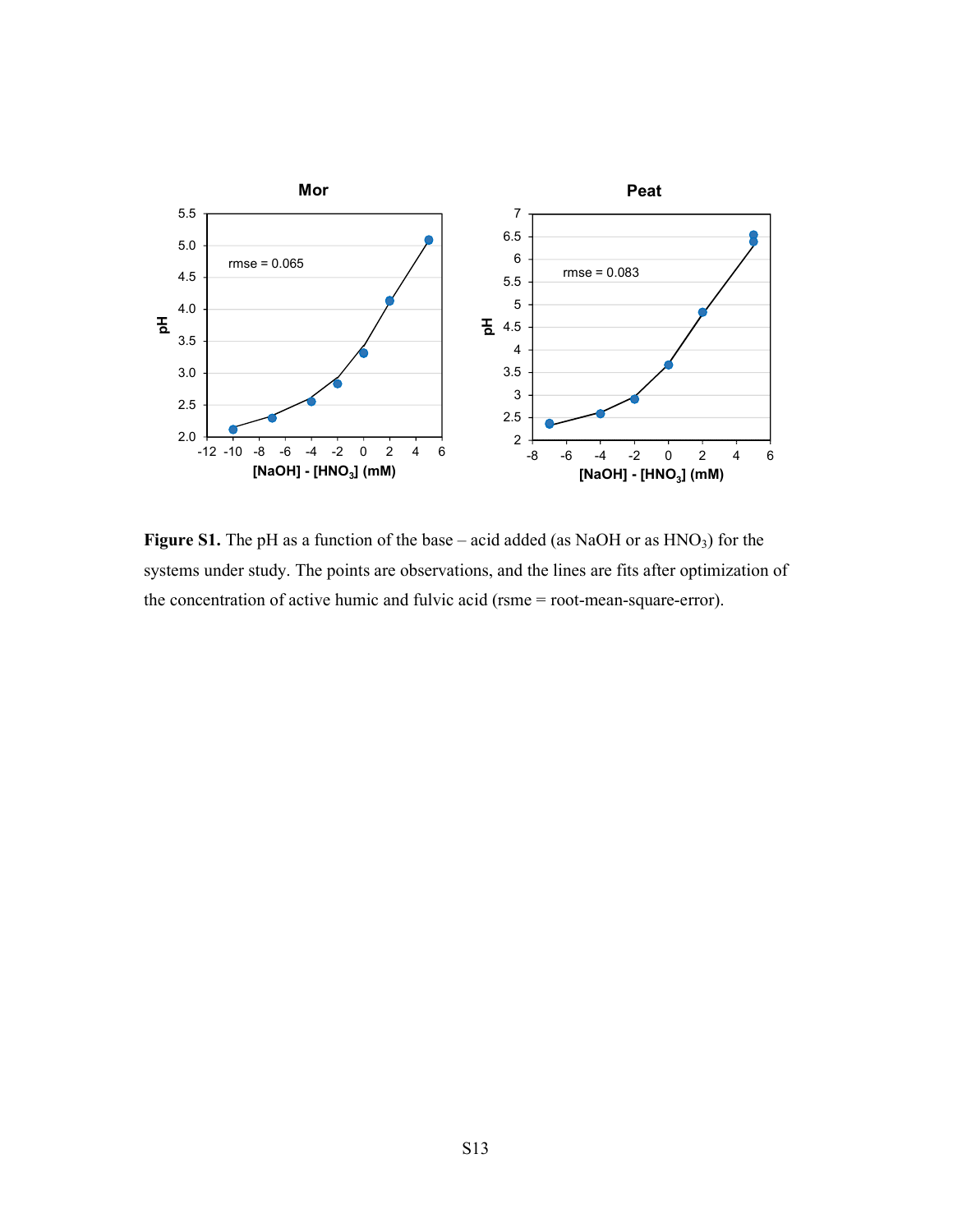

**Figure S1.** The pH as a function of the base – acid added (as NaOH or as HNO<sub>3</sub>) for the systems under study. The points are observations, and the lines are fits after optimization of the concentration of active humic and fulvic acid (rsme = root-mean-square-error).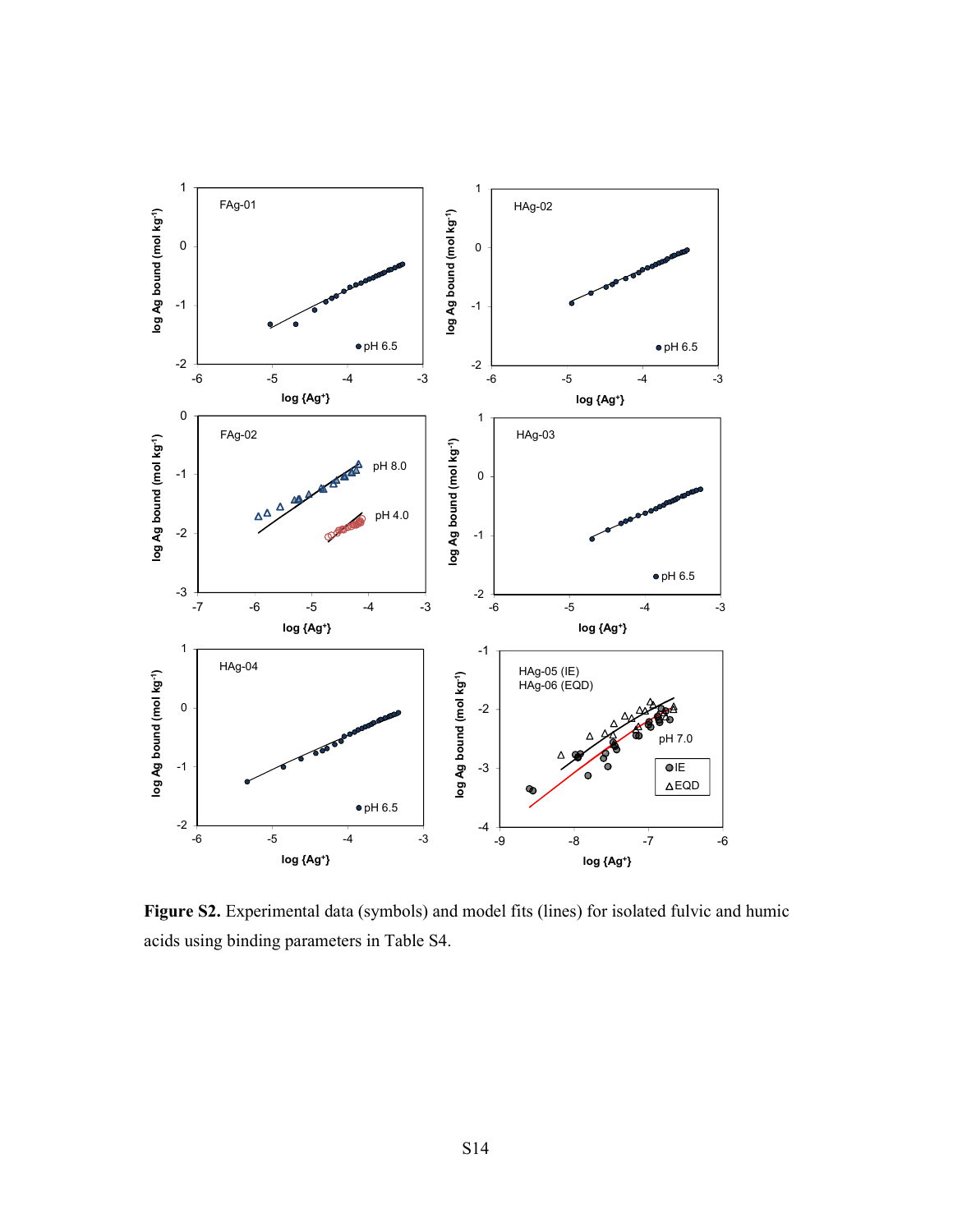

Figure S2. Experimental data (symbols) and model fits (lines) for isolated fulvic and humic acids using binding parameters in Table S4.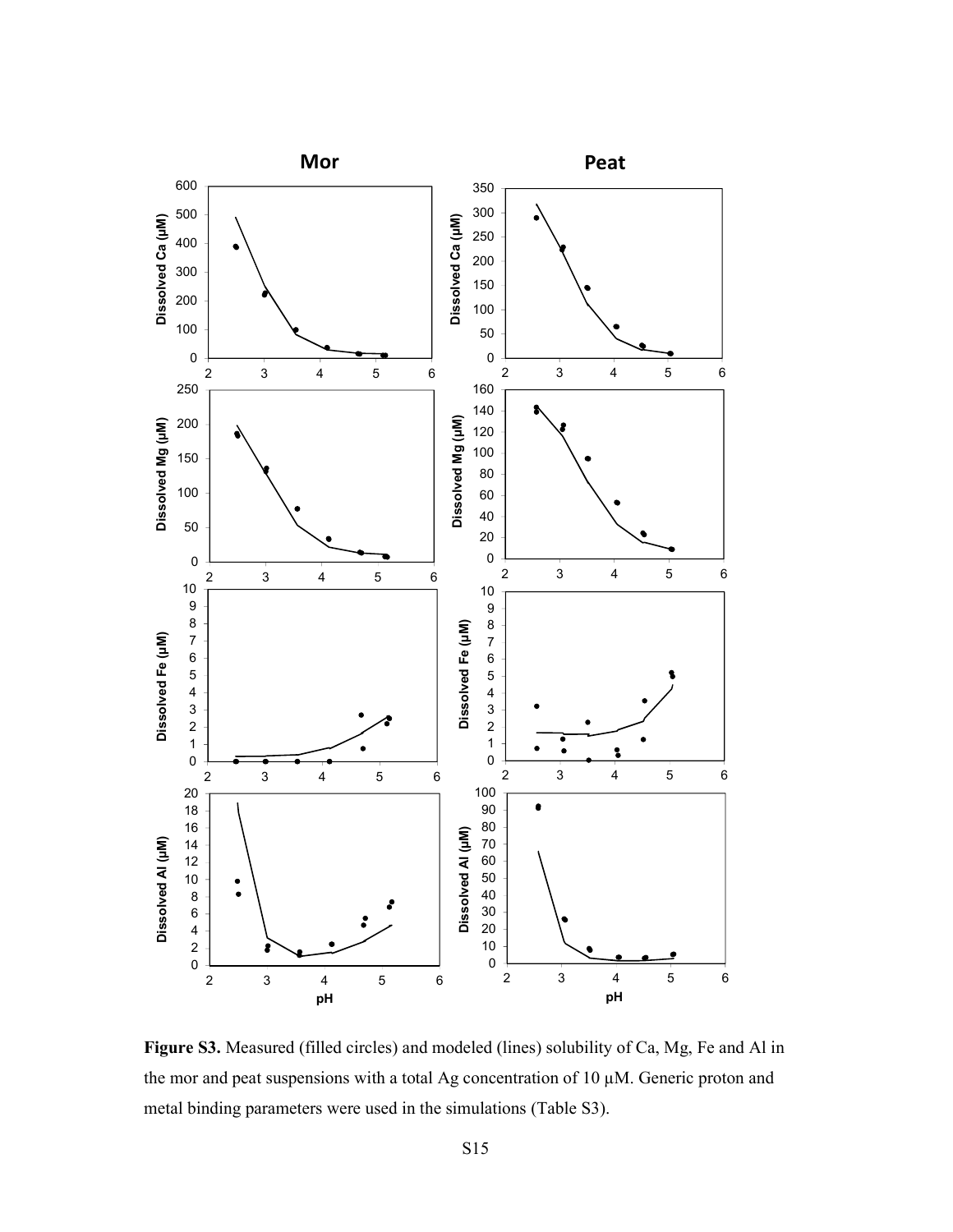

**Figure S3.** Measured (filled circles) and modeled (lines) solubility of Ca, Mg, Fe and Al in the mor and peat suspensions with a total Ag concentration of 10 µM. Generic proton and metal binding parameters were used in the simulations (Table S3).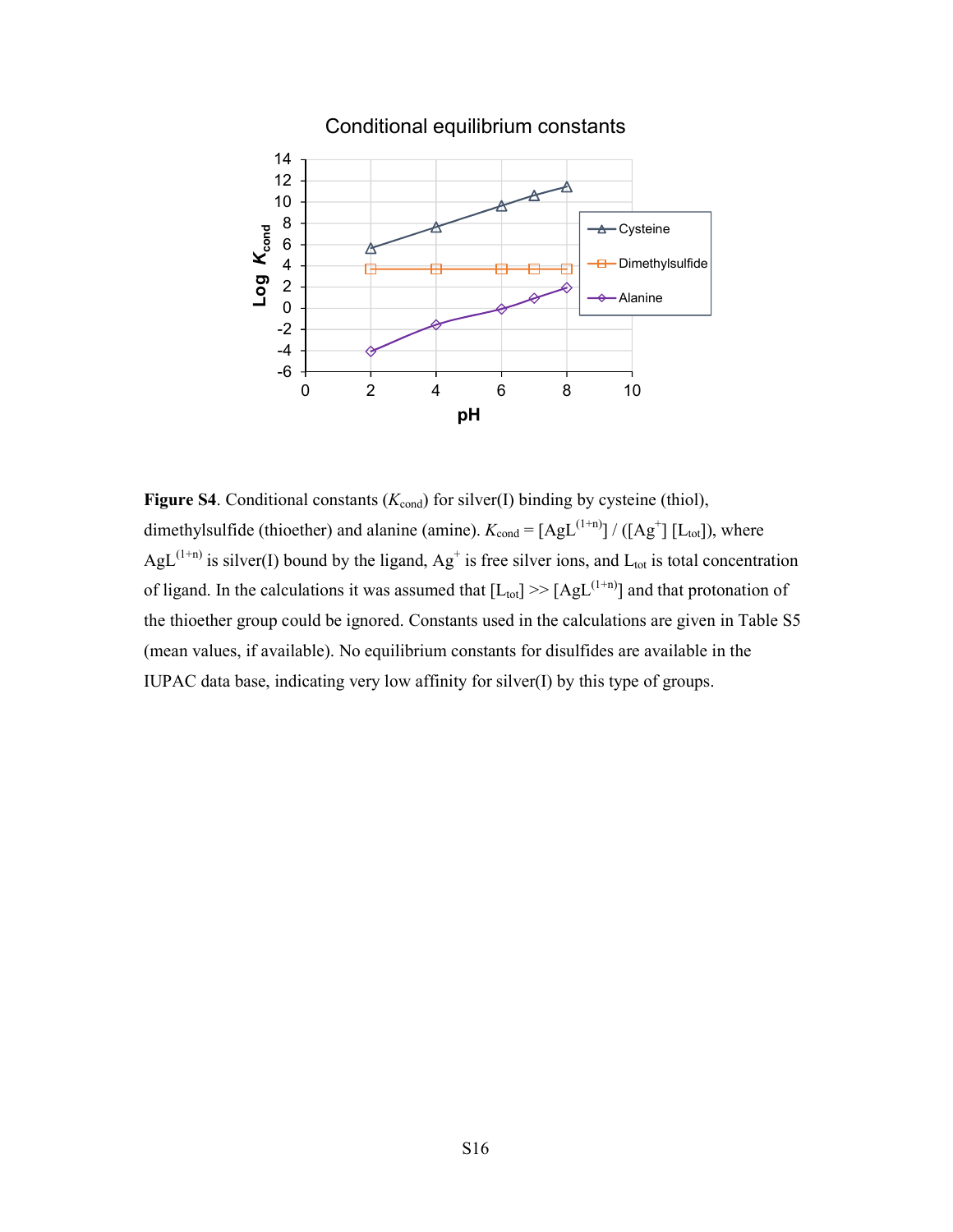

**Figure S4**. Conditional constants  $(K_{\text{cond}})$  for silver(I) binding by cysteine (thiol), dimethylsulfide (thioether) and alanine (amine).  $K_{\text{cond}} = [AgL^{(1+n)}]/([Ag^+] [L_{\text{tot}}])$ , where AgL<sup>(1+n)</sup> is silver(I) bound by the ligand,  $Ag^+$  is free silver ions, and  $L_{tot}$  is total concentration of ligand. In the calculations it was assumed that  $[L_{tot}] \gg [AgL^{(1+n)}]$  and that protonation of the thioether group could be ignored. Constants used in the calculations are given in Table S5 (mean values, if available). No equilibrium constants for disulfides are available in the IUPAC data base, indicating very low affinity for silver(I) by this type of groups.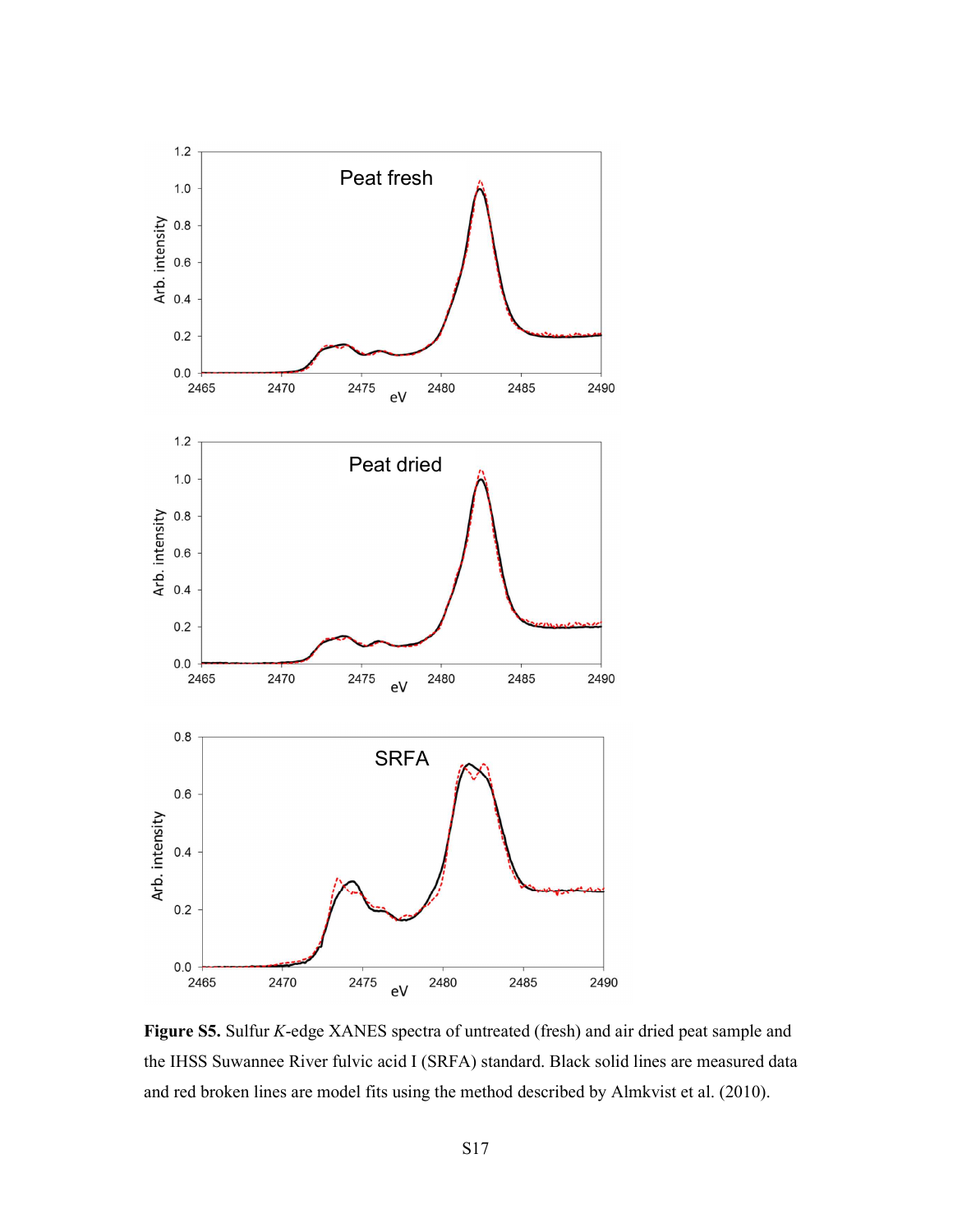

**Figure S5.** Sulfur *K*-edge XANES spectra of untreated (fresh) and air dried peat sample and the IHSS Suwannee River fulvic acid I (SRFA) standard. Black solid lines are measured data and red broken lines are model fits using the method described by Almkvist et al. (2010).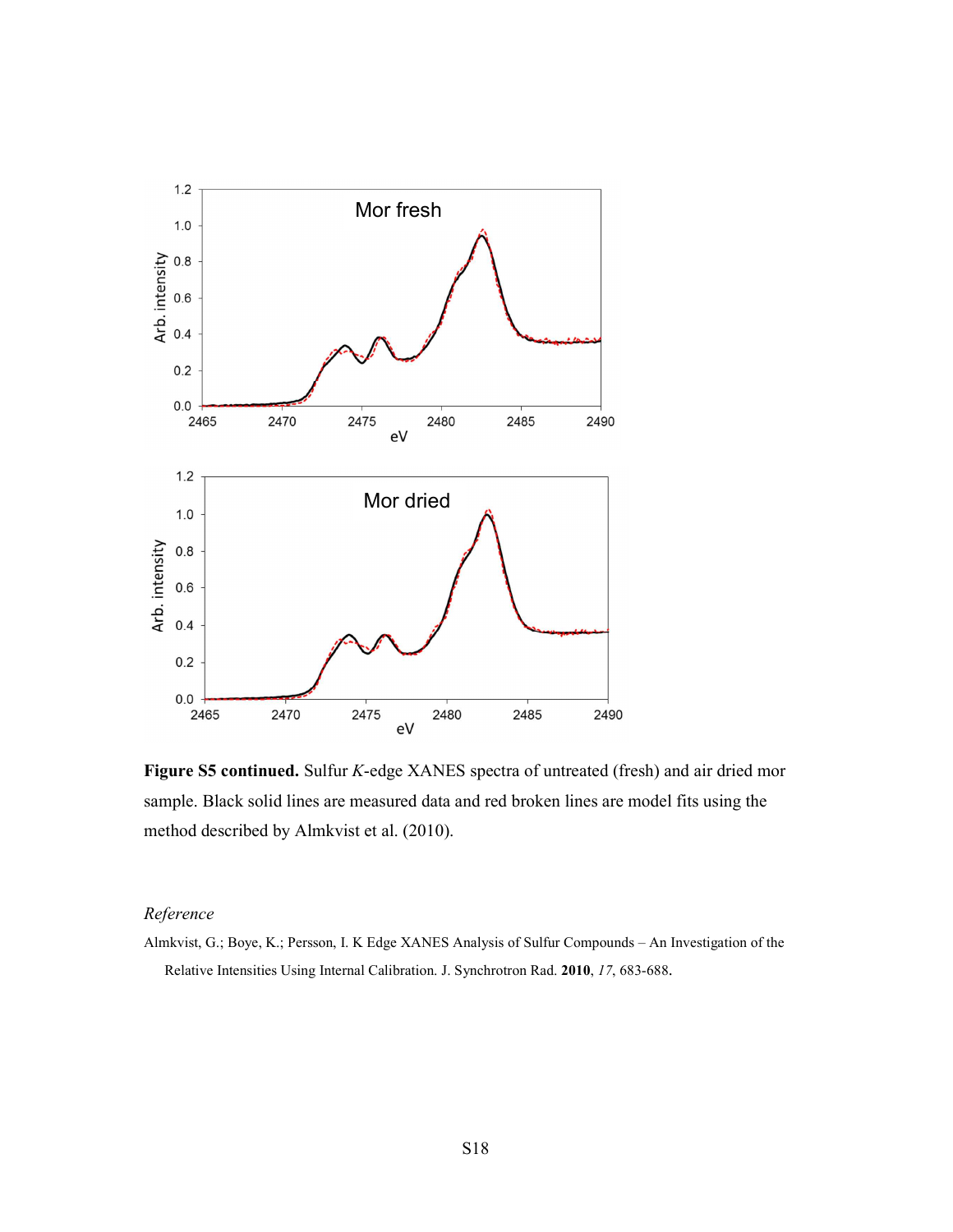

**Figure S5 continued.** Sulfur *K*-edge XANES spectra of untreated (fresh) and air dried mor sample. Black solid lines are measured data and red broken lines are model fits using the method described by Almkvist et al. (2010).

### *Reference*

Almkvist, G.; Boye, K.; Persson, I. K Edge XANES Analysis of Sulfur Compounds – An Investigation of the Relative Intensities Using Internal Calibration. J. Synchrotron Rad. **2010**, *17*, 683-688.